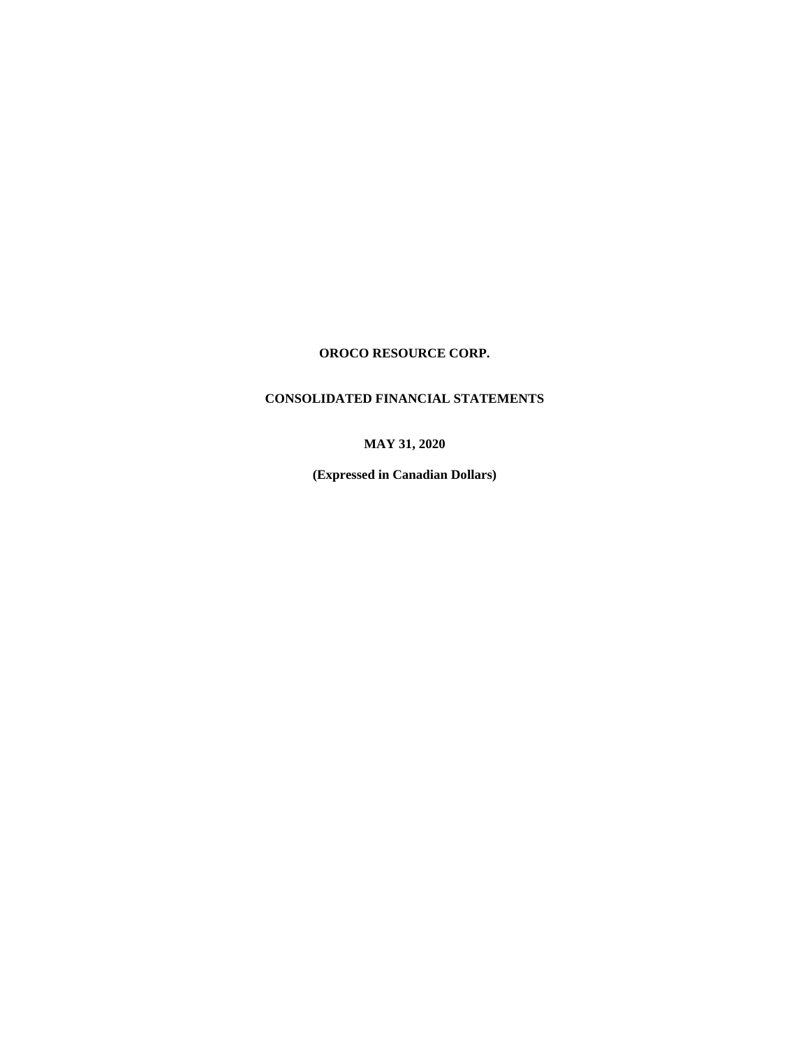## **OROCO RESOURCE CORP.**

# **CONSOLIDATED FINANCIAL STATEMENTS**

# **MAY 31, 2020**

**(Expressed in Canadian Dollars)**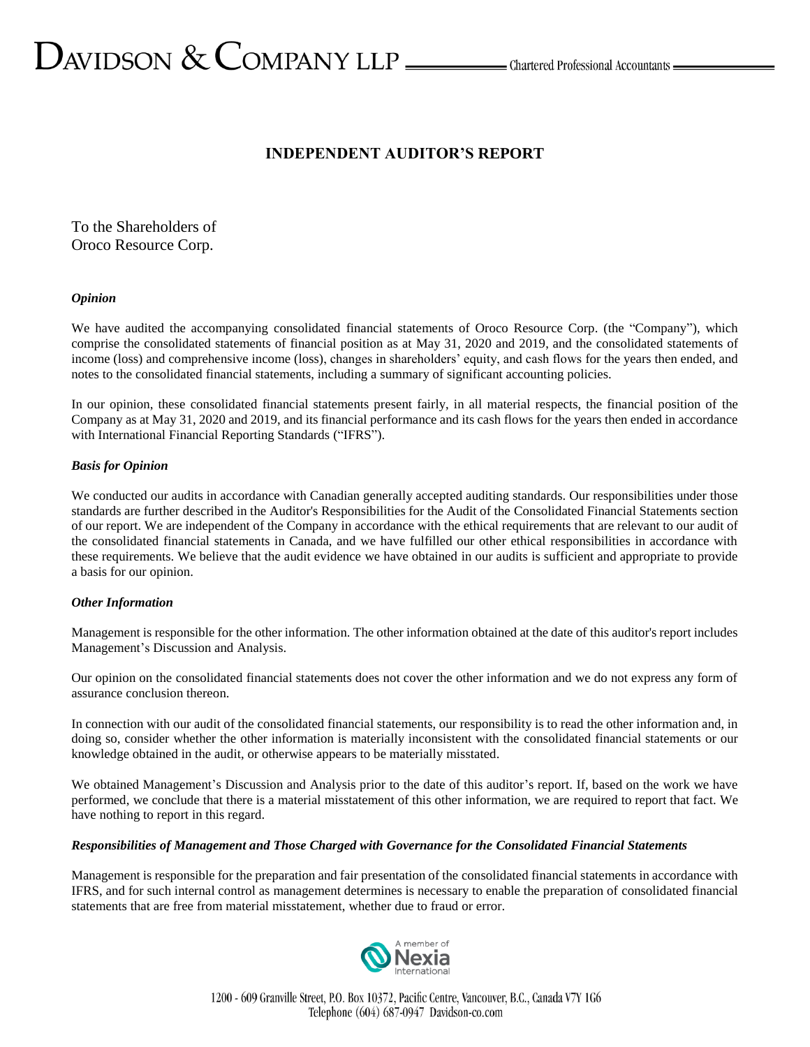# $D_{\text{AVIDSON}} \ \&\ \text{COMPANY LLP} \_\text{\tiny{LIP}}$  Chartered Professional Accountants  $D_{\text{AVIDSON}}$

# **INDEPENDENT AUDITOR'S REPORT**

To the Shareholders of Oroco Resource Corp.

### *Opinion*

We have audited the accompanying consolidated financial statements of Oroco Resource Corp. (the "Company"), which comprise the consolidated statements of financial position as at May 31, 2020 and 2019, and the consolidated statements of income (loss) and comprehensive income (loss), changes in shareholders' equity, and cash flows for the years then ended, and notes to the consolidated financial statements, including a summary of significant accounting policies.

In our opinion, these consolidated financial statements present fairly, in all material respects, the financial position of the Company as at May 31, 2020 and 2019, and its financial performance and its cash flows for the years then ended in accordance with International Financial Reporting Standards ("IFRS").

### *Basis for Opinion*

We conducted our audits in accordance with Canadian generally accepted auditing standards. Our responsibilities under those standards are further described in the Auditor's Responsibilities for the Audit of the Consolidated Financial Statements section of our report. We are independent of the Company in accordance with the ethical requirements that are relevant to our audit of the consolidated financial statements in Canada, and we have fulfilled our other ethical responsibilities in accordance with these requirements. We believe that the audit evidence we have obtained in our audits is sufficient and appropriate to provide a basis for our opinion.

#### *Other Information*

Management is responsible for the other information. The other information obtained at the date of this auditor's report includes Management's Discussion and Analysis.

Our opinion on the consolidated financial statements does not cover the other information and we do not express any form of assurance conclusion thereon.

In connection with our audit of the consolidated financial statements, our responsibility is to read the other information and, in doing so, consider whether the other information is materially inconsistent with the consolidated financial statements or our knowledge obtained in the audit, or otherwise appears to be materially misstated.

We obtained Management's Discussion and Analysis prior to the date of this auditor's report. If, based on the work we have performed, we conclude that there is a material misstatement of this other information, we are required to report that fact. We have nothing to report in this regard.

#### *Responsibilities of Management and Those Charged with Governance for the Consolidated Financial Statements*

Management is responsible for the preparation and fair presentation of the consolidated financial statements in accordance with IFRS, and for such internal control as management determines is necessary to enable the preparation of consolidated financial statements that are free from material misstatement, whether due to fraud or error.

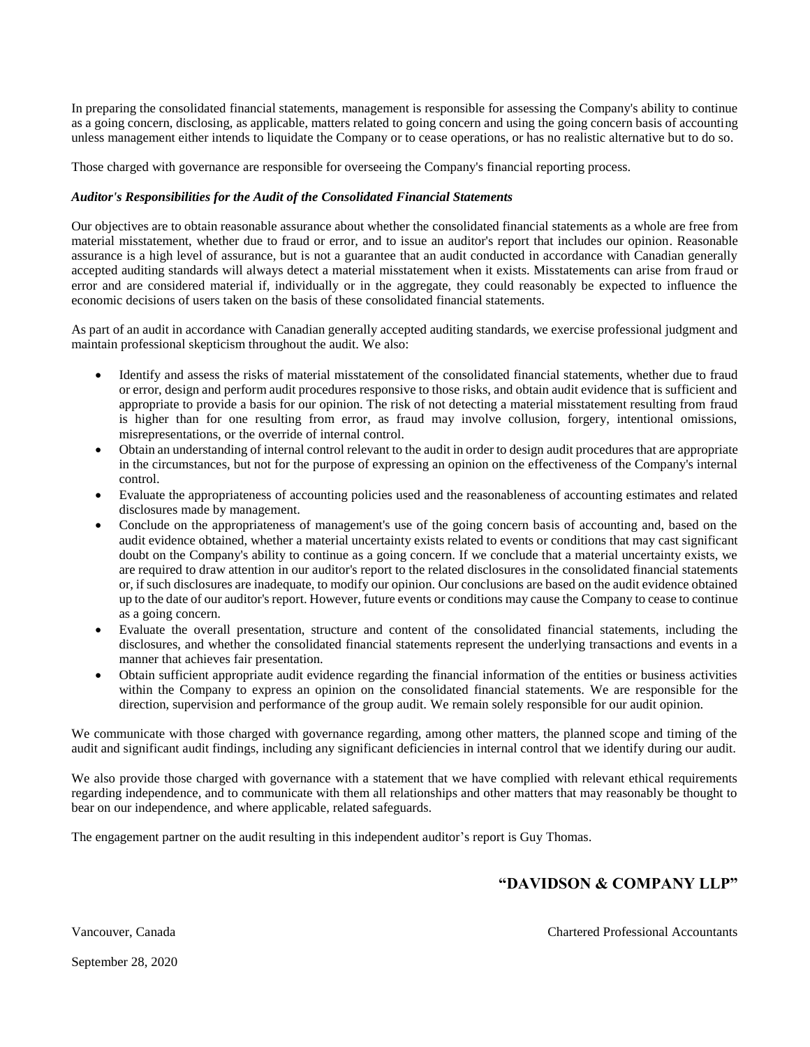In preparing the consolidated financial statements, management is responsible for assessing the Company's ability to continue as a going concern, disclosing, as applicable, matters related to going concern and using the going concern basis of accounting unless management either intends to liquidate the Company or to cease operations, or has no realistic alternative but to do so.

Those charged with governance are responsible for overseeing the Company's financial reporting process.

## *Auditor's Responsibilities for the Audit of the Consolidated Financial Statements*

Our objectives are to obtain reasonable assurance about whether the consolidated financial statements as a whole are free from material misstatement, whether due to fraud or error, and to issue an auditor's report that includes our opinion. Reasonable assurance is a high level of assurance, but is not a guarantee that an audit conducted in accordance with Canadian generally accepted auditing standards will always detect a material misstatement when it exists. Misstatements can arise from fraud or error and are considered material if, individually or in the aggregate, they could reasonably be expected to influence the economic decisions of users taken on the basis of these consolidated financial statements.

As part of an audit in accordance with Canadian generally accepted auditing standards, we exercise professional judgment and maintain professional skepticism throughout the audit. We also:

- Identify and assess the risks of material misstatement of the consolidated financial statements, whether due to fraud or error, design and perform audit procedures responsive to those risks, and obtain audit evidence that is sufficient and appropriate to provide a basis for our opinion. The risk of not detecting a material misstatement resulting from fraud is higher than for one resulting from error, as fraud may involve collusion, forgery, intentional omissions, misrepresentations, or the override of internal control.
- Obtain an understanding of internal control relevant to the audit in order to design audit procedures that are appropriate in the circumstances, but not for the purpose of expressing an opinion on the effectiveness of the Company's internal control.
- Evaluate the appropriateness of accounting policies used and the reasonableness of accounting estimates and related disclosures made by management.
- Conclude on the appropriateness of management's use of the going concern basis of accounting and, based on the audit evidence obtained, whether a material uncertainty exists related to events or conditions that may cast significant doubt on the Company's ability to continue as a going concern. If we conclude that a material uncertainty exists, we are required to draw attention in our auditor's report to the related disclosures in the consolidated financial statements or, if such disclosures are inadequate, to modify our opinion. Our conclusions are based on the audit evidence obtained up to the date of our auditor's report. However, future events or conditions may cause the Company to cease to continue as a going concern.
- Evaluate the overall presentation, structure and content of the consolidated financial statements, including the disclosures, and whether the consolidated financial statements represent the underlying transactions and events in a manner that achieves fair presentation.
- Obtain sufficient appropriate audit evidence regarding the financial information of the entities or business activities within the Company to express an opinion on the consolidated financial statements. We are responsible for the direction, supervision and performance of the group audit. We remain solely responsible for our audit opinion.

We communicate with those charged with governance regarding, among other matters, the planned scope and timing of the audit and significant audit findings, including any significant deficiencies in internal control that we identify during our audit.

We also provide those charged with governance with a statement that we have complied with relevant ethical requirements regarding independence, and to communicate with them all relationships and other matters that may reasonably be thought to bear on our independence, and where applicable, related safeguards.

The engagement partner on the audit resulting in this independent auditor's report is Guy Thomas.

# **"DAVIDSON & COMPANY LLP"**

Vancouver, Canada Chartered Professional Accountants

September 28, 2020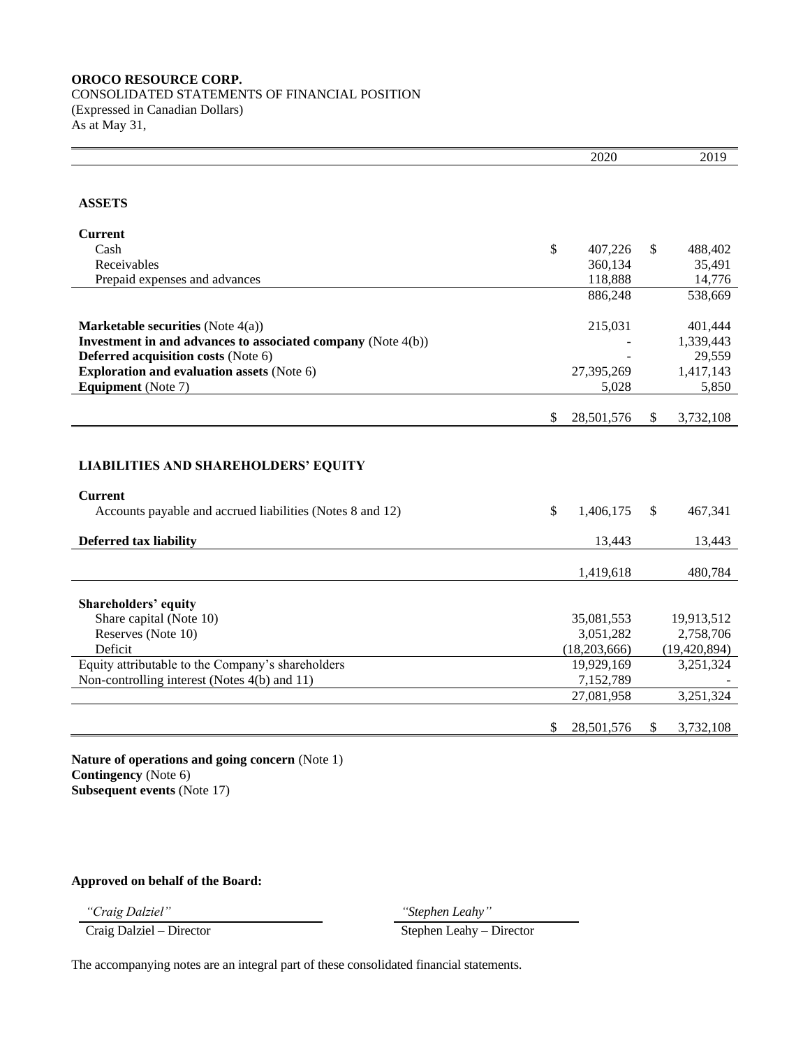#### **OROCO RESOURCE CORP.**

CONSOLIDATED STATEMENTS OF FINANCIAL POSITION (Expressed in Canadian Dollars) As at May 31,

|                                                              |              | 2020         |              | 2019           |
|--------------------------------------------------------------|--------------|--------------|--------------|----------------|
|                                                              |              |              |              |                |
| <b>ASSETS</b>                                                |              |              |              |                |
| <b>Current</b>                                               |              |              |              |                |
| Cash                                                         | \$           | 407,226      | $\mathbb{S}$ | 488,402        |
| Receivables                                                  |              | 360,134      |              | 35,491         |
| Prepaid expenses and advances                                |              | 118,888      |              | 14,776         |
|                                                              |              | 886,248      |              | 538,669        |
|                                                              |              |              |              |                |
| <b>Marketable securities</b> (Note $4(a)$ )                  |              | 215,031      |              | 401,444        |
| Investment in and advances to associated company (Note 4(b)) |              |              |              | 1,339,443      |
| <b>Deferred acquisition costs (Note 6)</b>                   |              |              |              | 29,559         |
| <b>Exploration and evaluation assets (Note 6)</b>            |              | 27,395,269   |              | 1,417,143      |
| <b>Equipment</b> (Note 7)                                    |              | 5,028        |              | 5,850          |
|                                                              | \$           | 28,501,576   | \$           | 3,732,108      |
|                                                              |              |              |              |                |
| <b>LIABILITIES AND SHAREHOLDERS' EQUITY</b>                  |              |              |              |                |
| <b>Current</b>                                               |              |              |              |                |
| Accounts payable and accrued liabilities (Notes 8 and 12)    | $\mathbb{S}$ | 1,406,175    | $\mathbb{S}$ | 467,341        |
| Deferred tax liability                                       |              | 13,443       |              | 13,443         |
|                                                              |              | 1,419,618    |              | 480,784        |
|                                                              |              |              |              |                |
| <b>Shareholders' equity</b>                                  |              |              |              |                |
| Share capital (Note 10)                                      |              | 35,081,553   |              | 19,913,512     |
| Reserves (Note 10)                                           |              | 3,051,282    |              | 2,758,706      |
| Deficit                                                      |              | (18,203,666) |              | (19, 420, 894) |
| Equity attributable to the Company's shareholders            |              | 19,929,169   |              | 3,251,324      |
| Non-controlling interest (Notes 4(b) and 11)                 |              | 7,152,789    |              |                |
|                                                              |              | 27,081,958   |              | 3,251,324      |
|                                                              | \$           | 28,501,576   | \$           | 3,732,108      |

**Nature of operations and going concern** (Note 1) **Contingency** (Note 6) **Subsequent events** (Note 17)

**Approved on behalf of the Board:**

*"Craig Dalziel" "Stephen Leahy"*

Craig Dalziel – Director Stephen Leahy – Director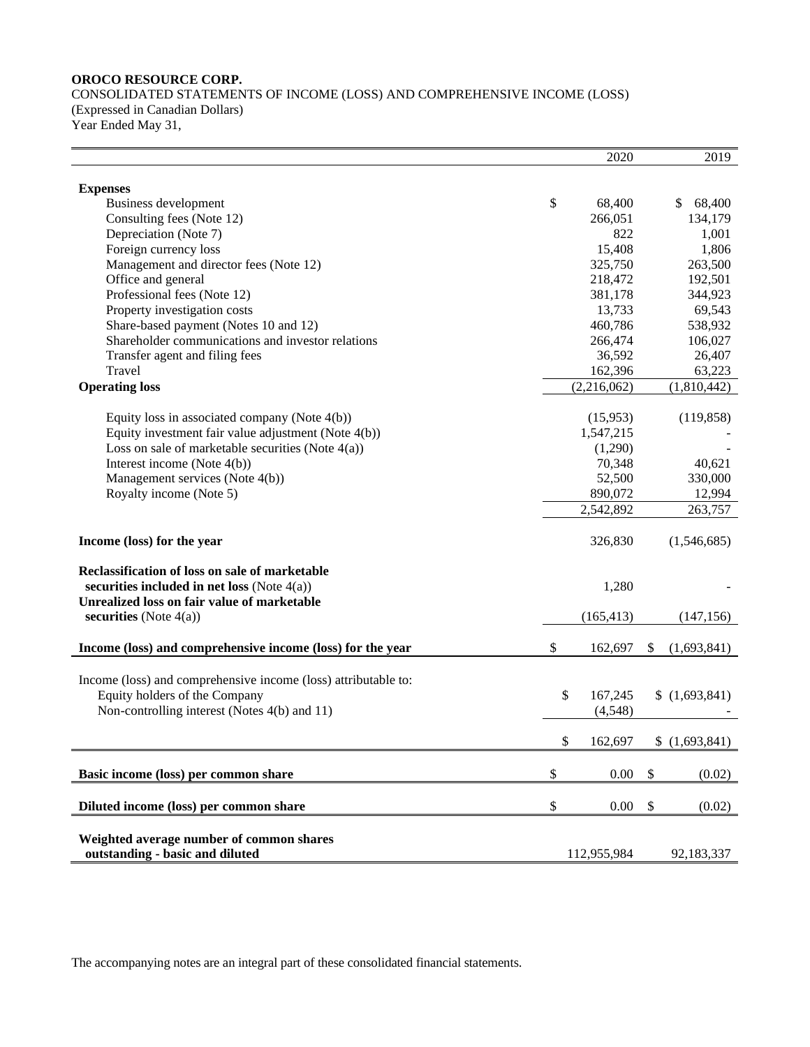## **OROCO RESOURCE CORP.**

CONSOLIDATED STATEMENTS OF INCOME (LOSS) AND COMPREHENSIVE INCOME (LOSS) (Expressed in Canadian Dollars) Year Ended May 31,

|                                                                | 2020          | 2019              |
|----------------------------------------------------------------|---------------|-------------------|
|                                                                |               |                   |
| <b>Expenses</b>                                                |               |                   |
| Business development                                           | \$<br>68,400  | 68,400<br>\$      |
| Consulting fees (Note 12)                                      | 266,051       | 134,179           |
| Depreciation (Note 7)                                          | 822           | 1,001             |
| Foreign currency loss                                          | 15,408        | 1,806             |
| Management and director fees (Note 12)                         | 325,750       | 263,500           |
| Office and general                                             | 218,472       | 192,501           |
| Professional fees (Note 12)                                    | 381,178       | 344,923           |
| Property investigation costs                                   | 13,733        | 69,543            |
| Share-based payment (Notes 10 and 12)                          | 460,786       | 538,932           |
| Shareholder communications and investor relations              | 266,474       | 106,027           |
| Transfer agent and filing fees                                 | 36,592        | 26,407            |
| Travel                                                         | 162,396       | 63,223            |
| <b>Operating loss</b>                                          | (2,216,062)   | (1,810,442)       |
|                                                                |               |                   |
| Equity loss in associated company (Note $4(b)$ )               | (15,953)      | (119, 858)        |
| Equity investment fair value adjustment (Note 4(b))            | 1,547,215     |                   |
| Loss on sale of marketable securities (Note $4(a)$ )           | (1,290)       |                   |
| Interest income (Note $4(b)$ )                                 | 70,348        | 40,621            |
| Management services (Note 4(b))                                | 52,500        | 330,000           |
| Royalty income (Note 5)                                        | 890,072       | 12,994            |
|                                                                | 2,542,892     | 263,757           |
|                                                                |               |                   |
| Income (loss) for the year                                     | 326,830       | (1,546,685)       |
|                                                                |               |                   |
| Reclassification of loss on sale of marketable                 |               |                   |
| securities included in net loss (Note $4(a)$ )                 | 1,280         |                   |
| Unrealized loss on fair value of marketable                    |               |                   |
| securities (Note $4(a)$ )                                      | (165, 413)    | (147, 156)        |
|                                                                |               |                   |
| Income (loss) and comprehensive income (loss) for the year     | \$<br>162,697 | \$<br>(1,693,841) |
|                                                                |               |                   |
| Income (loss) and comprehensive income (loss) attributable to: |               |                   |
| Equity holders of the Company                                  | \$<br>167,245 | (1,693,841)       |
| Non-controlling interest (Notes 4(b) and 11)                   | (4,548)       |                   |
|                                                                |               |                   |
|                                                                | \$<br>162,697 | (1,693,841)       |
| Basic income (loss) per common share                           | 0.00          | \$<br>(0.02)      |
|                                                                | \$            |                   |
| Diluted income (loss) per common share                         | \$<br>0.00    | \$<br>(0.02)      |
|                                                                |               |                   |
| Weighted average number of common shares                       |               |                   |
| outstanding - basic and diluted                                | 112,955,984   | 92,183,337        |
|                                                                |               |                   |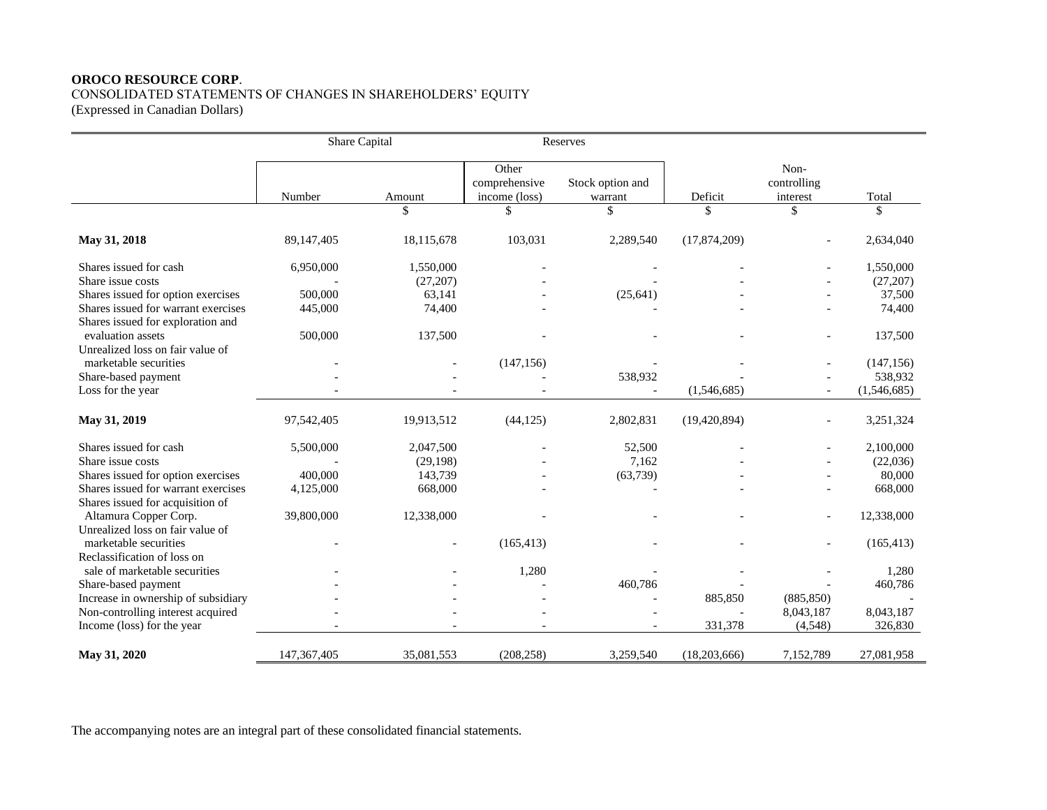## **OROCO RESOURCE CORP**. CONSOLIDATED STATEMENTS OF CHANGES IN SHAREHOLDERS' EQUITY (Expressed in Canadian Dollars)

|                                                                         | Share Capital |            |                                         | Reserves                    |                |                                 |             |
|-------------------------------------------------------------------------|---------------|------------|-----------------------------------------|-----------------------------|----------------|---------------------------------|-------------|
|                                                                         | Number        | Amount     | Other<br>comprehensive<br>income (loss) | Stock option and<br>warrant | Deficit        | Non-<br>controlling<br>interest | Total       |
|                                                                         |               | \$         | \$.                                     | S                           | \$             | \$                              | \$          |
|                                                                         |               |            |                                         |                             |                |                                 |             |
| May 31, 2018                                                            | 89,147,405    | 18,115,678 | 103,031                                 | 2,289,540                   | (17, 874, 209) |                                 | 2,634,040   |
| Shares issued for cash                                                  | 6,950,000     | 1,550,000  |                                         |                             |                |                                 | 1,550,000   |
| Share issue costs                                                       |               | (27,207)   |                                         |                             |                |                                 | (27,207)    |
| Shares issued for option exercises                                      | 500,000       | 63,141     |                                         | (25, 641)                   |                |                                 | 37,500      |
| Shares issued for warrant exercises                                     | 445,000       | 74,400     |                                         |                             |                |                                 | 74,400      |
| Shares issued for exploration and<br>evaluation assets                  | 500,000       | 137,500    |                                         |                             |                |                                 | 137,500     |
| Unrealized loss on fair value of                                        |               |            |                                         |                             |                |                                 |             |
| marketable securities                                                   |               |            | (147, 156)                              |                             |                |                                 | (147, 156)  |
| Share-based payment                                                     |               |            |                                         | 538,932                     |                |                                 | 538,932     |
| Loss for the year                                                       |               |            |                                         |                             | (1,546,685)    | $\blacksquare$                  | (1,546,685) |
| May 31, 2019                                                            | 97,542,405    | 19,913,512 | (44, 125)                               | 2,802,831                   | (19, 420, 894) | $\overline{a}$                  | 3,251,324   |
| Shares issued for cash                                                  | 5,500,000     | 2,047,500  |                                         | 52,500                      |                |                                 | 2,100,000   |
| Share issue costs                                                       |               | (29,198)   |                                         | 7,162                       |                |                                 | (22,036)    |
| Shares issued for option exercises                                      | 400,000       | 143,739    |                                         | (63, 739)                   |                |                                 | 80,000      |
| Shares issued for warrant exercises<br>Shares issued for acquisition of | 4,125,000     | 668,000    |                                         |                             |                |                                 | 668,000     |
| Altamura Copper Corp.<br>Unrealized loss on fair value of               | 39,800,000    | 12,338,000 |                                         |                             |                |                                 | 12,338,000  |
| marketable securities<br>Reclassification of loss on                    |               |            | (165, 413)                              |                             |                |                                 | (165, 413)  |
| sale of marketable securities                                           |               |            | 1,280                                   |                             |                |                                 | 1,280       |
| Share-based payment                                                     |               |            |                                         | 460,786                     |                |                                 | 460,786     |
| Increase in ownership of subsidiary                                     |               |            |                                         |                             | 885,850        | (885, 850)                      |             |
| Non-controlling interest acquired                                       |               |            |                                         |                             | $\overline{a}$ | 8,043,187                       | 8,043,187   |
| Income (loss) for the year                                              |               |            |                                         |                             | 331,378        | (4,548)                         | 326,830     |
| May 31, 2020                                                            | 147, 367, 405 | 35,081,553 | (208, 258)                              | 3,259,540                   | (18,203,666)   | 7,152,789                       | 27,081,958  |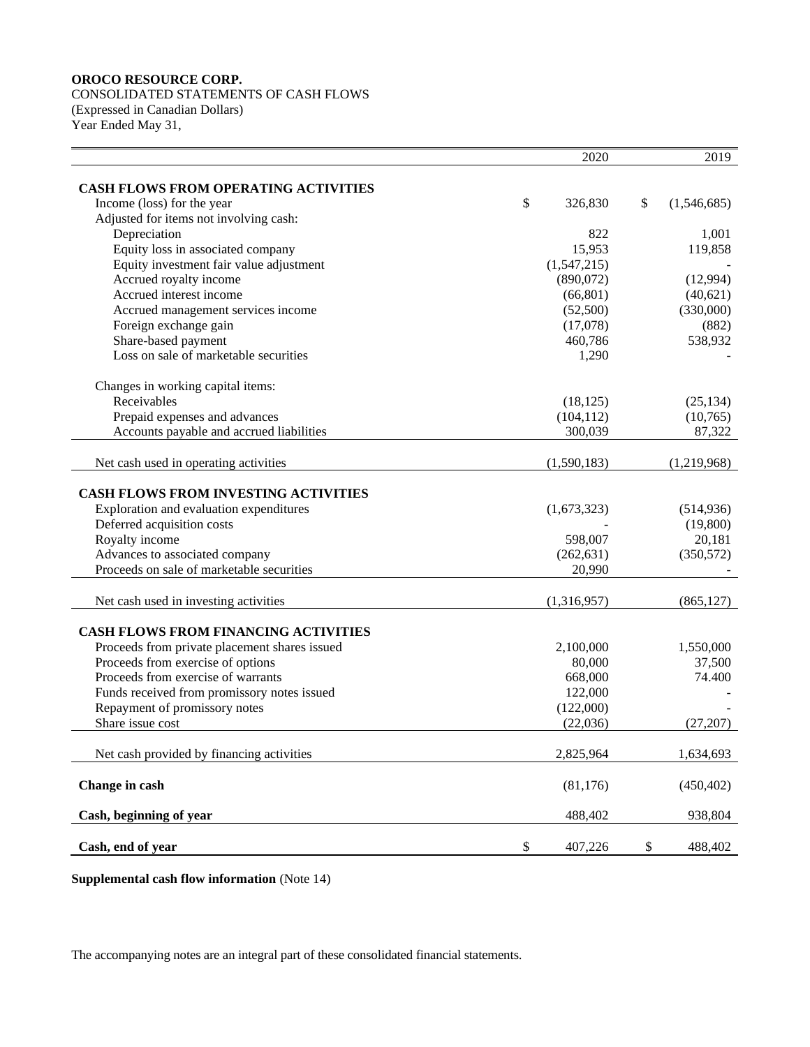## **OROCO RESOURCE CORP.**

CONSOLIDATED STATEMENTS OF CASH FLOWS (Expressed in Canadian Dollars) Year Ended May 31,

|                                               | 2020          | 2019              |
|-----------------------------------------------|---------------|-------------------|
|                                               |               |                   |
| <b>CASH FLOWS FROM OPERATING ACTIVITIES</b>   |               |                   |
| Income (loss) for the year                    | \$<br>326,830 | \$<br>(1,546,685) |
| Adjusted for items not involving cash:        |               |                   |
| Depreciation                                  | 822           | 1,001             |
| Equity loss in associated company             | 15,953        | 119,858           |
| Equity investment fair value adjustment       | (1,547,215)   |                   |
| Accrued royalty income                        | (890,072)     | (12,994)          |
| Accrued interest income                       | (66, 801)     | (40,621)          |
| Accrued management services income            | (52,500)      | (330,000)         |
| Foreign exchange gain                         | (17,078)      | (882)             |
| Share-based payment                           | 460,786       | 538,932           |
| Loss on sale of marketable securities         | 1,290         |                   |
| Changes in working capital items:             |               |                   |
| Receivables                                   | (18, 125)     | (25, 134)         |
| Prepaid expenses and advances                 | (104, 112)    | (10,765)          |
| Accounts payable and accrued liabilities      | 300,039       | 87,322            |
| Net cash used in operating activities         | (1,590,183)   | (1,219,968)       |
|                                               |               |                   |
| <b>CASH FLOWS FROM INVESTING ACTIVITIES</b>   |               |                   |
| Exploration and evaluation expenditures       | (1,673,323)   | (514, 936)        |
| Deferred acquisition costs                    |               | (19,800)          |
| Royalty income                                | 598,007       | 20,181            |
| Advances to associated company                | (262, 631)    | (350, 572)        |
| Proceeds on sale of marketable securities     | 20,990        |                   |
|                                               |               |                   |
| Net cash used in investing activities         | (1,316,957)   | (865, 127)        |
| <b>CASH FLOWS FROM FINANCING ACTIVITIES</b>   |               |                   |
| Proceeds from private placement shares issued | 2,100,000     | 1,550,000         |
| Proceeds from exercise of options             | 80,000        | 37,500            |
| Proceeds from exercise of warrants            | 668,000       | 74.400            |
| Funds received from promissory notes issued   | 122,000       |                   |
| Repayment of promissory notes                 | (122,000)     |                   |
| Share issue cost                              | (22,036)      | (27,207)          |
|                                               |               |                   |
| Net cash provided by financing activities     | 2,825,964     | 1,634,693         |
| Change in cash                                | (81, 176)     | (450, 402)        |
| Cash, beginning of year                       | 488,402       | 938,804           |
|                                               |               |                   |
| Cash, end of year                             | \$<br>407,226 | \$<br>488,402     |

**Supplemental cash flow information** (Note 14)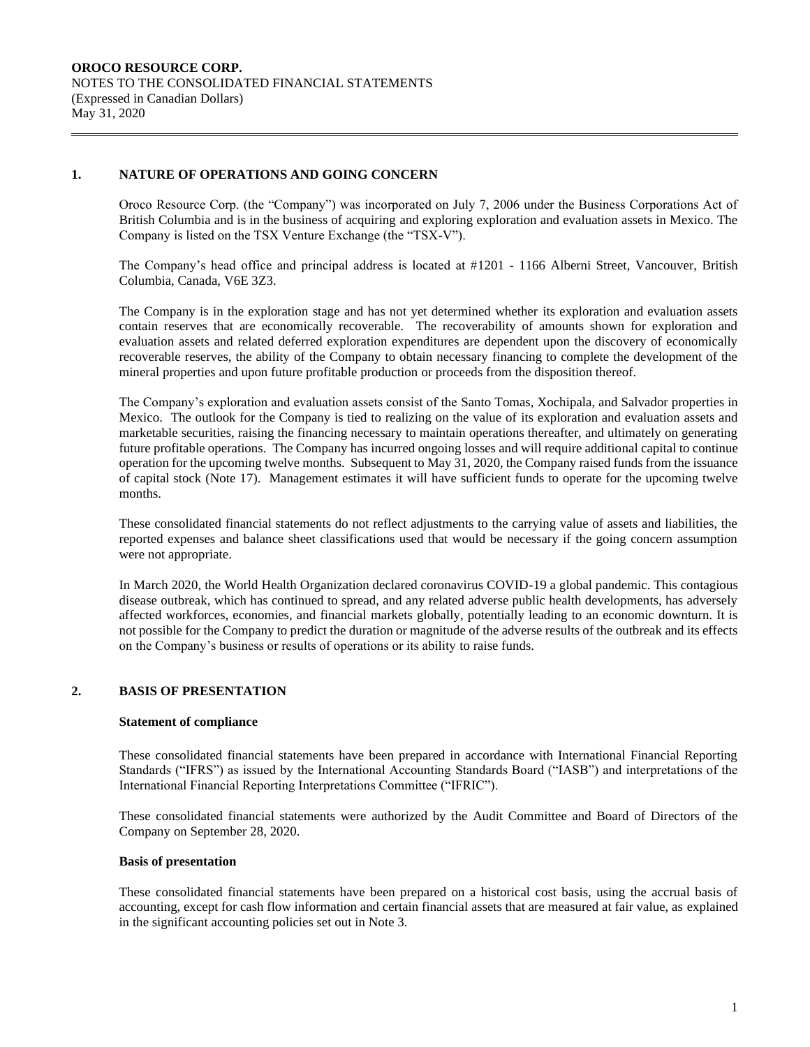## **1. NATURE OF OPERATIONS AND GOING CONCERN**

Oroco Resource Corp. (the "Company") was incorporated on July 7, 2006 under the Business Corporations Act of British Columbia and is in the business of acquiring and exploring exploration and evaluation assets in Mexico. The Company is listed on the TSX Venture Exchange (the "TSX-V").

The Company's head office and principal address is located at #1201 - 1166 Alberni Street, Vancouver, British Columbia, Canada, V6E 3Z3.

The Company is in the exploration stage and has not yet determined whether its exploration and evaluation assets contain reserves that are economically recoverable. The recoverability of amounts shown for exploration and evaluation assets and related deferred exploration expenditures are dependent upon the discovery of economically recoverable reserves, the ability of the Company to obtain necessary financing to complete the development of the mineral properties and upon future profitable production or proceeds from the disposition thereof.

The Company's exploration and evaluation assets consist of the Santo Tomas, Xochipala, and Salvador properties in Mexico. The outlook for the Company is tied to realizing on the value of its exploration and evaluation assets and marketable securities, raising the financing necessary to maintain operations thereafter, and ultimately on generating future profitable operations. The Company has incurred ongoing losses and will require additional capital to continue operation for the upcoming twelve months. Subsequent to May 31, 2020, the Company raised funds from the issuance of capital stock (Note 17). Management estimates it will have sufficient funds to operate for the upcoming twelve months.

These consolidated financial statements do not reflect adjustments to the carrying value of assets and liabilities, the reported expenses and balance sheet classifications used that would be necessary if the going concern assumption were not appropriate.

In March 2020, the World Health Organization declared coronavirus COVID-19 a global pandemic. This contagious disease outbreak, which has continued to spread, and any related adverse public health developments, has adversely affected workforces, economies, and financial markets globally, potentially leading to an economic downturn. It is not possible for the Company to predict the duration or magnitude of the adverse results of the outbreak and its effects on the Company's business or results of operations or its ability to raise funds.

## **2. BASIS OF PRESENTATION**

#### **Statement of compliance**

These consolidated financial statements have been prepared in accordance with International Financial Reporting Standards ("IFRS") as issued by the International Accounting Standards Board ("IASB") and interpretations of the International Financial Reporting Interpretations Committee ("IFRIC").

These consolidated financial statements were authorized by the Audit Committee and Board of Directors of the Company on September 28, 2020.

#### **Basis of presentation**

These consolidated financial statements have been prepared on a historical cost basis, using the accrual basis of accounting, except for cash flow information and certain financial assets that are measured at fair value, as explained in the significant accounting policies set out in Note 3.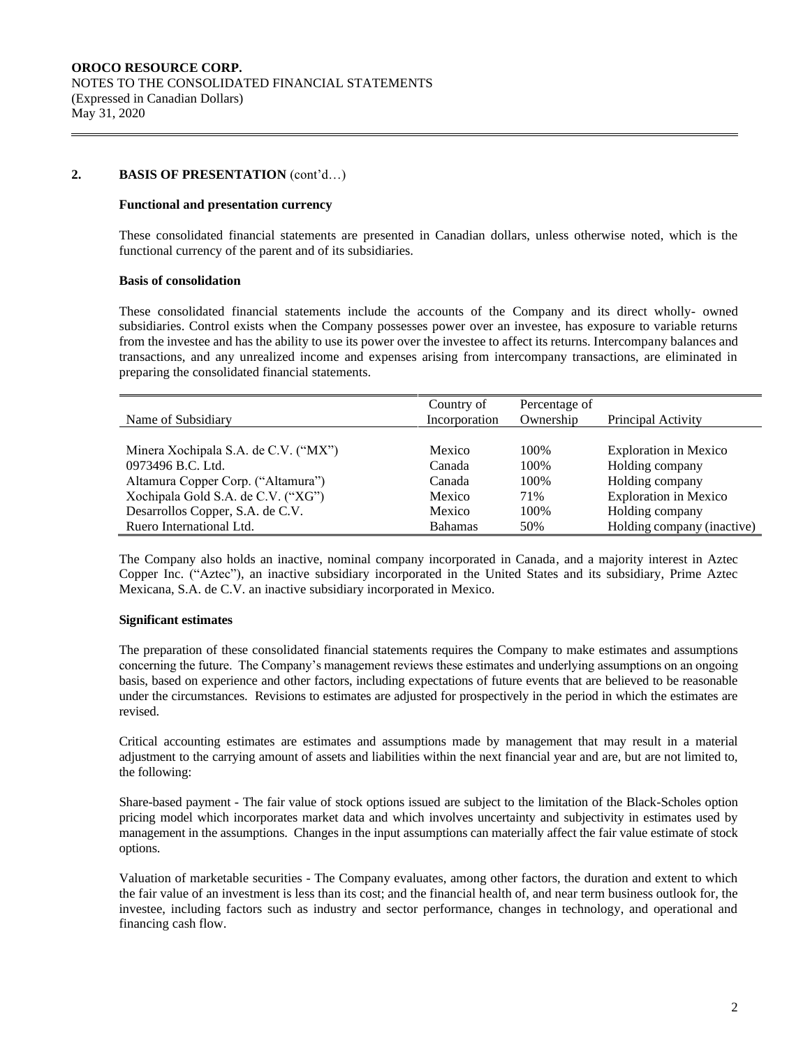## **2. BASIS OF PRESENTATION** (cont'd…)

#### **Functional and presentation currency**

These consolidated financial statements are presented in Canadian dollars, unless otherwise noted, which is the functional currency of the parent and of its subsidiaries.

#### **Basis of consolidation**

These consolidated financial statements include the accounts of the Company and its direct wholly- owned subsidiaries. Control exists when the Company possesses power over an investee, has exposure to variable returns from the investee and has the ability to use its power over the investee to affect its returns. Intercompany balances and transactions, and any unrealized income and expenses arising from intercompany transactions, are eliminated in preparing the consolidated financial statements.

| Name of Subsidiary                   | Country of<br>Incorporation | Percentage of<br>Ownership | Principal Activity           |
|--------------------------------------|-----------------------------|----------------------------|------------------------------|
|                                      |                             |                            |                              |
| Minera Xochipala S.A. de C.V. ("MX") | Mexico                      | 100%                       | <b>Exploration</b> in Mexico |
| 0973496 B.C. Ltd.                    | Canada                      | 100%                       | Holding company              |
| Altamura Copper Corp. ("Altamura")   | Canada                      | 100%                       | Holding company              |
| Xochipala Gold S.A. de C.V. ("XG")   | Mexico                      | 71%                        | <b>Exploration in Mexico</b> |
| Desarrollos Copper, S.A. de C.V.     | Mexico                      | 100%                       | Holding company              |
| Ruero International Ltd.             | <b>Bahamas</b>              | 50%                        | Holding company (inactive)   |

The Company also holds an inactive, nominal company incorporated in Canada, and a majority interest in Aztec Copper Inc. ("Aztec"), an inactive subsidiary incorporated in the United States and its subsidiary, Prime Aztec Mexicana, S.A. de C.V. an inactive subsidiary incorporated in Mexico.

#### **Significant estimates**

The preparation of these consolidated financial statements requires the Company to make estimates and assumptions concerning the future. The Company's management reviews these estimates and underlying assumptions on an ongoing basis, based on experience and other factors, including expectations of future events that are believed to be reasonable under the circumstances. Revisions to estimates are adjusted for prospectively in the period in which the estimates are revised.

Critical accounting estimates are estimates and assumptions made by management that may result in a material adjustment to the carrying amount of assets and liabilities within the next financial year and are, but are not limited to, the following:

Share-based payment - The fair value of stock options issued are subject to the limitation of the Black-Scholes option pricing model which incorporates market data and which involves uncertainty and subjectivity in estimates used by management in the assumptions. Changes in the input assumptions can materially affect the fair value estimate of stock options.

Valuation of marketable securities - The Company evaluates, among other factors, the duration and extent to which the fair value of an investment is less than its cost; and the financial health of, and near term business outlook for, the investee, including factors such as industry and sector performance, changes in technology, and operational and financing cash flow.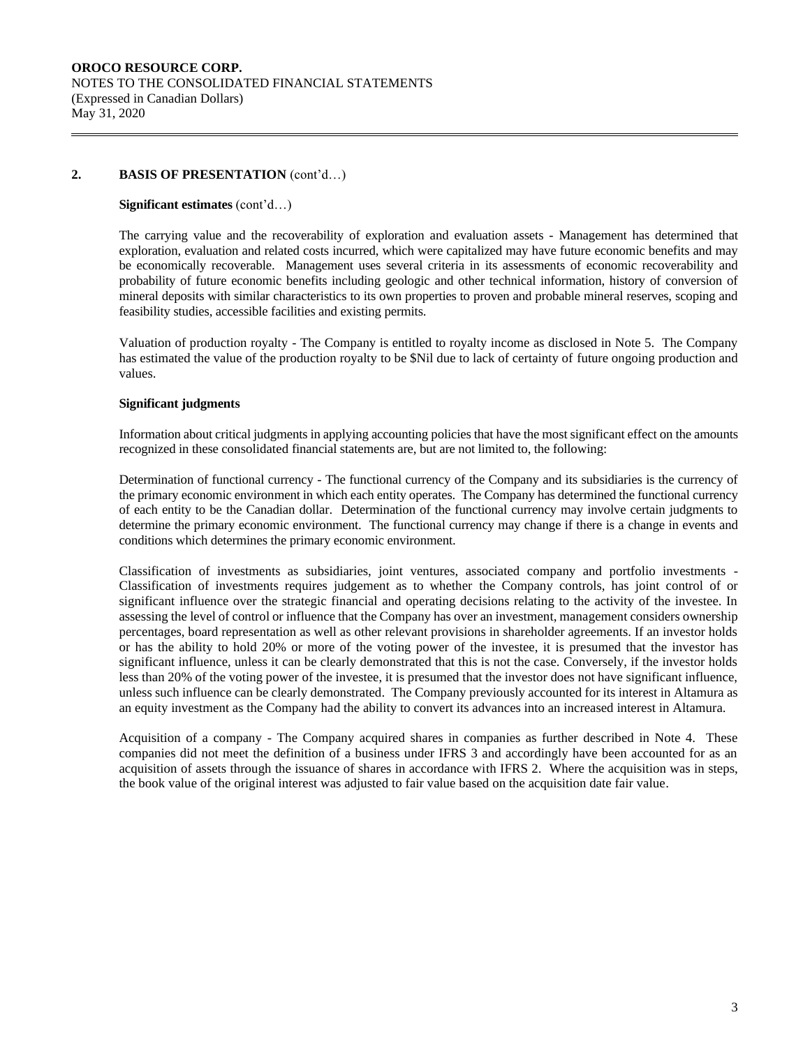## **2. BASIS OF PRESENTATION** (cont'd…)

#### **Significant estimates** (cont'd…)

The carrying value and the recoverability of exploration and evaluation assets - Management has determined that exploration, evaluation and related costs incurred, which were capitalized may have future economic benefits and may be economically recoverable. Management uses several criteria in its assessments of economic recoverability and probability of future economic benefits including geologic and other technical information, history of conversion of mineral deposits with similar characteristics to its own properties to proven and probable mineral reserves, scoping and feasibility studies, accessible facilities and existing permits.

Valuation of production royalty - The Company is entitled to royalty income as disclosed in Note 5. The Company has estimated the value of the production royalty to be \$Nil due to lack of certainty of future ongoing production and values.

### **Significant judgments**

Information about critical judgments in applying accounting policies that have the most significant effect on the amounts recognized in these consolidated financial statements are, but are not limited to, the following:

Determination of functional currency - The functional currency of the Company and its subsidiaries is the currency of the primary economic environment in which each entity operates. The Company has determined the functional currency of each entity to be the Canadian dollar. Determination of the functional currency may involve certain judgments to determine the primary economic environment. The functional currency may change if there is a change in events and conditions which determines the primary economic environment.

Classification of investments as subsidiaries, joint ventures, associated company and portfolio investments - Classification of investments requires judgement as to whether the Company controls, has joint control of or significant influence over the strategic financial and operating decisions relating to the activity of the investee. In assessing the level of control or influence that the Company has over an investment, management considers ownership percentages, board representation as well as other relevant provisions in shareholder agreements. If an investor holds or has the ability to hold 20% or more of the voting power of the investee, it is presumed that the investor has significant influence, unless it can be clearly demonstrated that this is not the case. Conversely, if the investor holds less than 20% of the voting power of the investee, it is presumed that the investor does not have significant influence, unless such influence can be clearly demonstrated. The Company previously accounted for its interest in Altamura as an equity investment as the Company had the ability to convert its advances into an increased interest in Altamura.

Acquisition of a company - The Company acquired shares in companies as further described in Note 4. These companies did not meet the definition of a business under IFRS 3 and accordingly have been accounted for as an acquisition of assets through the issuance of shares in accordance with IFRS 2. Where the acquisition was in steps, the book value of the original interest was adjusted to fair value based on the acquisition date fair value.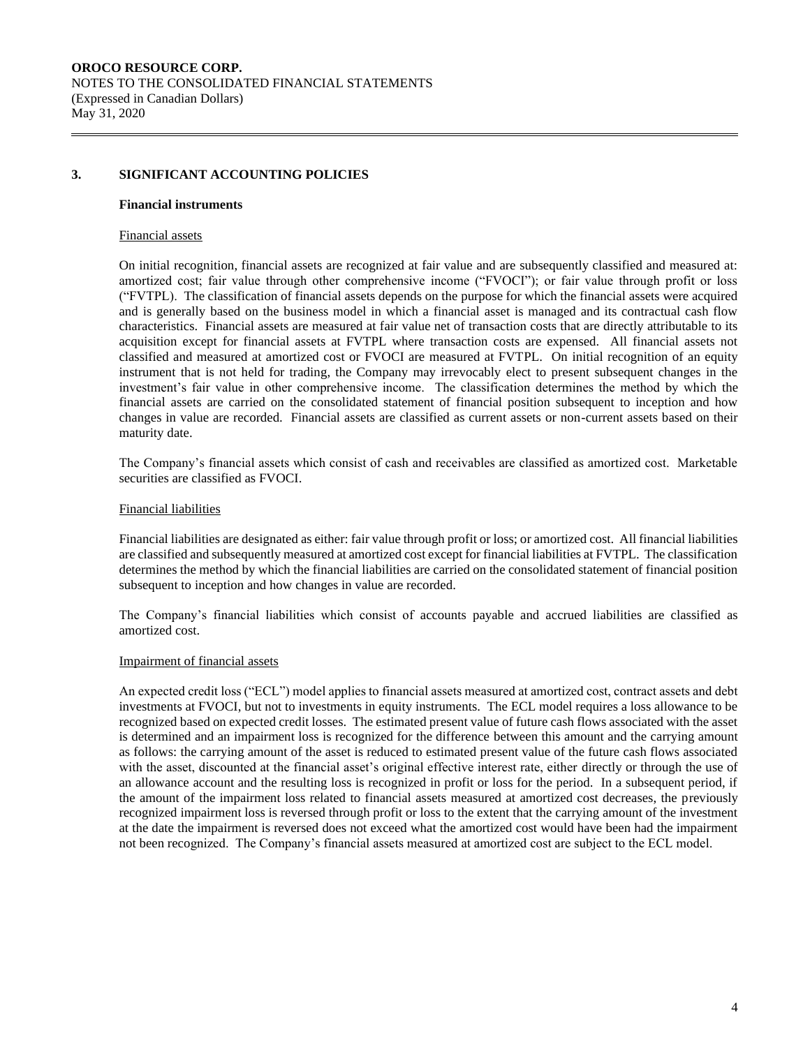## **3. SIGNIFICANT ACCOUNTING POLICIES**

#### **Financial instruments**

#### Financial assets

On initial recognition, financial assets are recognized at fair value and are subsequently classified and measured at: amortized cost; fair value through other comprehensive income ("FVOCI"); or fair value through profit or loss ("FVTPL). The classification of financial assets depends on the purpose for which the financial assets were acquired and is generally based on the business model in which a financial asset is managed and its contractual cash flow characteristics. Financial assets are measured at fair value net of transaction costs that are directly attributable to its acquisition except for financial assets at FVTPL where transaction costs are expensed. All financial assets not classified and measured at amortized cost or FVOCI are measured at FVTPL. On initial recognition of an equity instrument that is not held for trading, the Company may irrevocably elect to present subsequent changes in the investment's fair value in other comprehensive income. The classification determines the method by which the financial assets are carried on the consolidated statement of financial position subsequent to inception and how changes in value are recorded. Financial assets are classified as current assets or non-current assets based on their maturity date.

The Company's financial assets which consist of cash and receivables are classified as amortized cost. Marketable securities are classified as FVOCI.

#### Financial liabilities

Financial liabilities are designated as either: fair value through profit or loss; or amortized cost. All financial liabilities are classified and subsequently measured at amortized cost except for financial liabilities at FVTPL. The classification determines the method by which the financial liabilities are carried on the consolidated statement of financial position subsequent to inception and how changes in value are recorded.

The Company's financial liabilities which consist of accounts payable and accrued liabilities are classified as amortized cost.

#### Impairment of financial assets

An expected credit loss ("ECL") model applies to financial assets measured at amortized cost, contract assets and debt investments at FVOCI, but not to investments in equity instruments. The ECL model requires a loss allowance to be recognized based on expected credit losses. The estimated present value of future cash flows associated with the asset is determined and an impairment loss is recognized for the difference between this amount and the carrying amount as follows: the carrying amount of the asset is reduced to estimated present value of the future cash flows associated with the asset, discounted at the financial asset's original effective interest rate, either directly or through the use of an allowance account and the resulting loss is recognized in profit or loss for the period. In a subsequent period, if the amount of the impairment loss related to financial assets measured at amortized cost decreases, the previously recognized impairment loss is reversed through profit or loss to the extent that the carrying amount of the investment at the date the impairment is reversed does not exceed what the amortized cost would have been had the impairment not been recognized. The Company's financial assets measured at amortized cost are subject to the ECL model.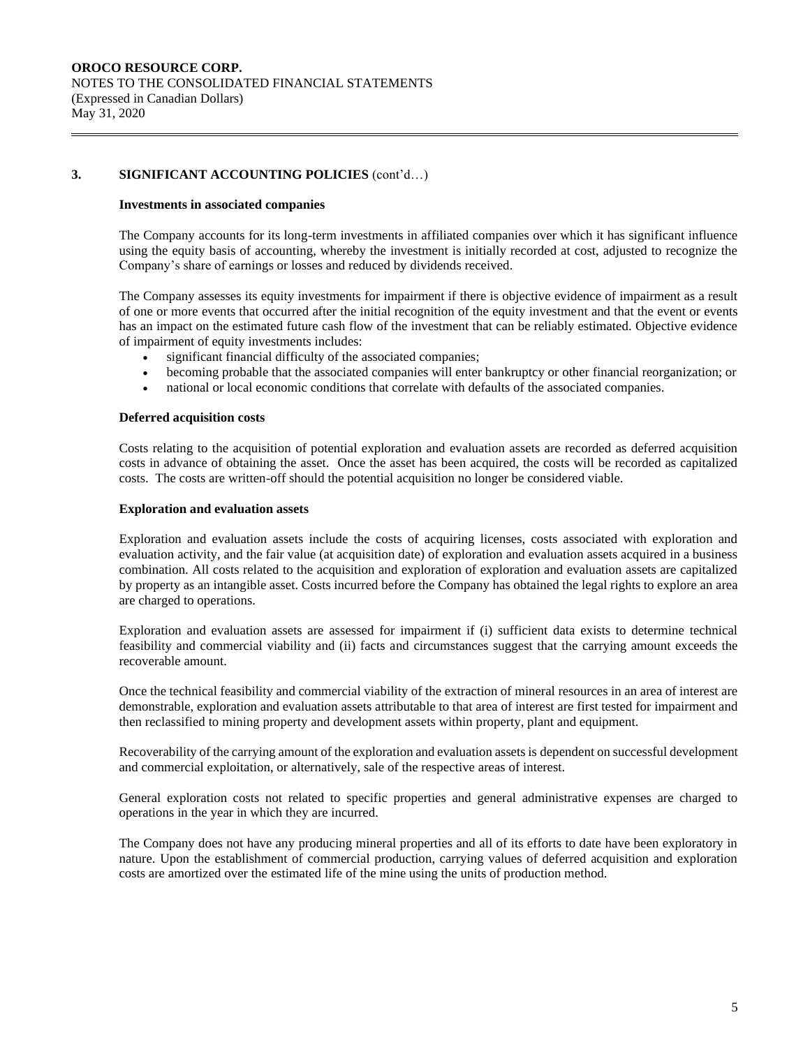#### **Investments in associated companies**

The Company accounts for its long-term investments in affiliated companies over which it has significant influence using the equity basis of accounting, whereby the investment is initially recorded at cost, adjusted to recognize the Company's share of earnings or losses and reduced by dividends received.

The Company assesses its equity investments for impairment if there is objective evidence of impairment as a result of one or more events that occurred after the initial recognition of the equity investment and that the event or events has an impact on the estimated future cash flow of the investment that can be reliably estimated. Objective evidence of impairment of equity investments includes:

- significant financial difficulty of the associated companies;
- becoming probable that the associated companies will enter bankruptcy or other financial reorganization; or
- national or local economic conditions that correlate with defaults of the associated companies.

#### **Deferred acquisition costs**

Costs relating to the acquisition of potential exploration and evaluation assets are recorded as deferred acquisition costs in advance of obtaining the asset. Once the asset has been acquired, the costs will be recorded as capitalized costs. The costs are written-off should the potential acquisition no longer be considered viable.

#### **Exploration and evaluation assets**

Exploration and evaluation assets include the costs of acquiring licenses, costs associated with exploration and evaluation activity, and the fair value (at acquisition date) of exploration and evaluation assets acquired in a business combination. All costs related to the acquisition and exploration of exploration and evaluation assets are capitalized by property as an intangible asset. Costs incurred before the Company has obtained the legal rights to explore an area are charged to operations.

Exploration and evaluation assets are assessed for impairment if (i) sufficient data exists to determine technical feasibility and commercial viability and (ii) facts and circumstances suggest that the carrying amount exceeds the recoverable amount.

Once the technical feasibility and commercial viability of the extraction of mineral resources in an area of interest are demonstrable, exploration and evaluation assets attributable to that area of interest are first tested for impairment and then reclassified to mining property and development assets within property, plant and equipment.

Recoverability of the carrying amount of the exploration and evaluation assets is dependent on successful development and commercial exploitation, or alternatively, sale of the respective areas of interest.

General exploration costs not related to specific properties and general administrative expenses are charged to operations in the year in which they are incurred.

The Company does not have any producing mineral properties and all of its efforts to date have been exploratory in nature. Upon the establishment of commercial production, carrying values of deferred acquisition and exploration costs are amortized over the estimated life of the mine using the units of production method.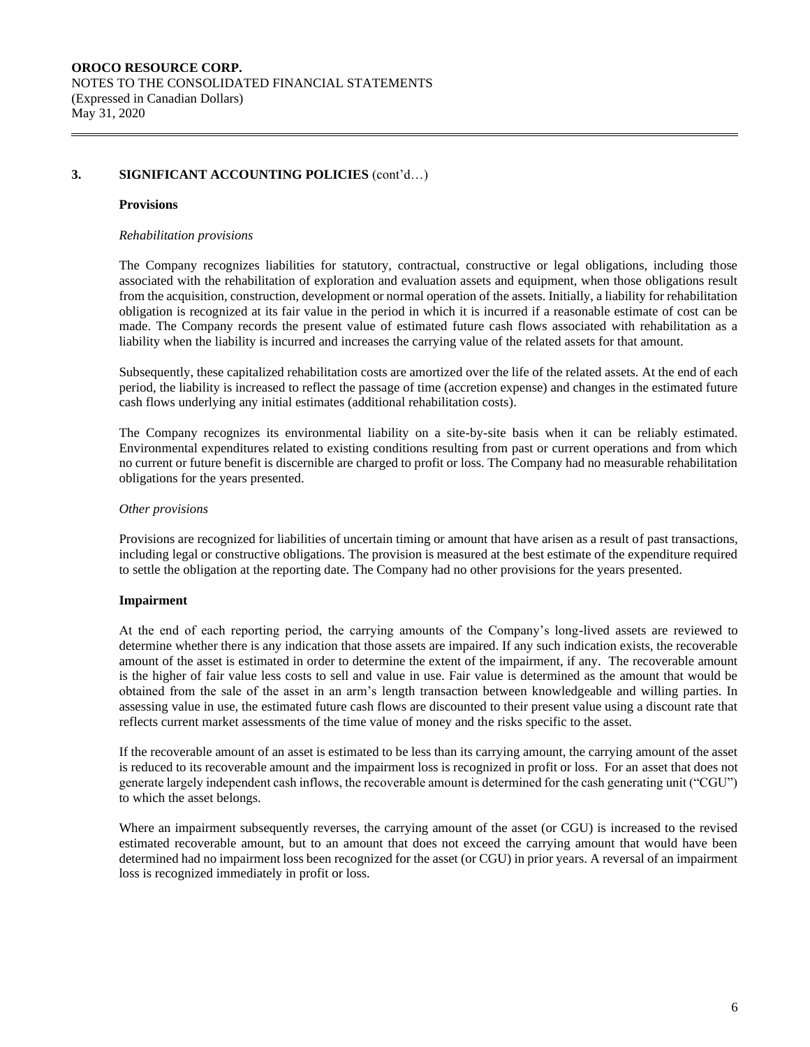#### **Provisions**

#### *Rehabilitation provisions*

The Company recognizes liabilities for statutory, contractual, constructive or legal obligations, including those associated with the rehabilitation of exploration and evaluation assets and equipment, when those obligations result from the acquisition, construction, development or normal operation of the assets. Initially, a liability for rehabilitation obligation is recognized at its fair value in the period in which it is incurred if a reasonable estimate of cost can be made. The Company records the present value of estimated future cash flows associated with rehabilitation as a liability when the liability is incurred and increases the carrying value of the related assets for that amount.

Subsequently, these capitalized rehabilitation costs are amortized over the life of the related assets. At the end of each period, the liability is increased to reflect the passage of time (accretion expense) and changes in the estimated future cash flows underlying any initial estimates (additional rehabilitation costs).

The Company recognizes its environmental liability on a site-by-site basis when it can be reliably estimated. Environmental expenditures related to existing conditions resulting from past or current operations and from which no current or future benefit is discernible are charged to profit or loss. The Company had no measurable rehabilitation obligations for the years presented.

### *Other provisions*

Provisions are recognized for liabilities of uncertain timing or amount that have arisen as a result of past transactions, including legal or constructive obligations. The provision is measured at the best estimate of the expenditure required to settle the obligation at the reporting date. The Company had no other provisions for the years presented.

## **Impairment**

At the end of each reporting period, the carrying amounts of the Company's long-lived assets are reviewed to determine whether there is any indication that those assets are impaired. If any such indication exists, the recoverable amount of the asset is estimated in order to determine the extent of the impairment, if any. The recoverable amount is the higher of fair value less costs to sell and value in use. Fair value is determined as the amount that would be obtained from the sale of the asset in an arm's length transaction between knowledgeable and willing parties. In assessing value in use, the estimated future cash flows are discounted to their present value using a discount rate that reflects current market assessments of the time value of money and the risks specific to the asset.

If the recoverable amount of an asset is estimated to be less than its carrying amount, the carrying amount of the asset is reduced to its recoverable amount and the impairment loss is recognized in profit or loss. For an asset that does not generate largely independent cash inflows, the recoverable amount is determined for the cash generating unit ("CGU") to which the asset belongs.

Where an impairment subsequently reverses, the carrying amount of the asset (or CGU) is increased to the revised estimated recoverable amount, but to an amount that does not exceed the carrying amount that would have been determined had no impairment loss been recognized for the asset (or CGU) in prior years. A reversal of an impairment loss is recognized immediately in profit or loss.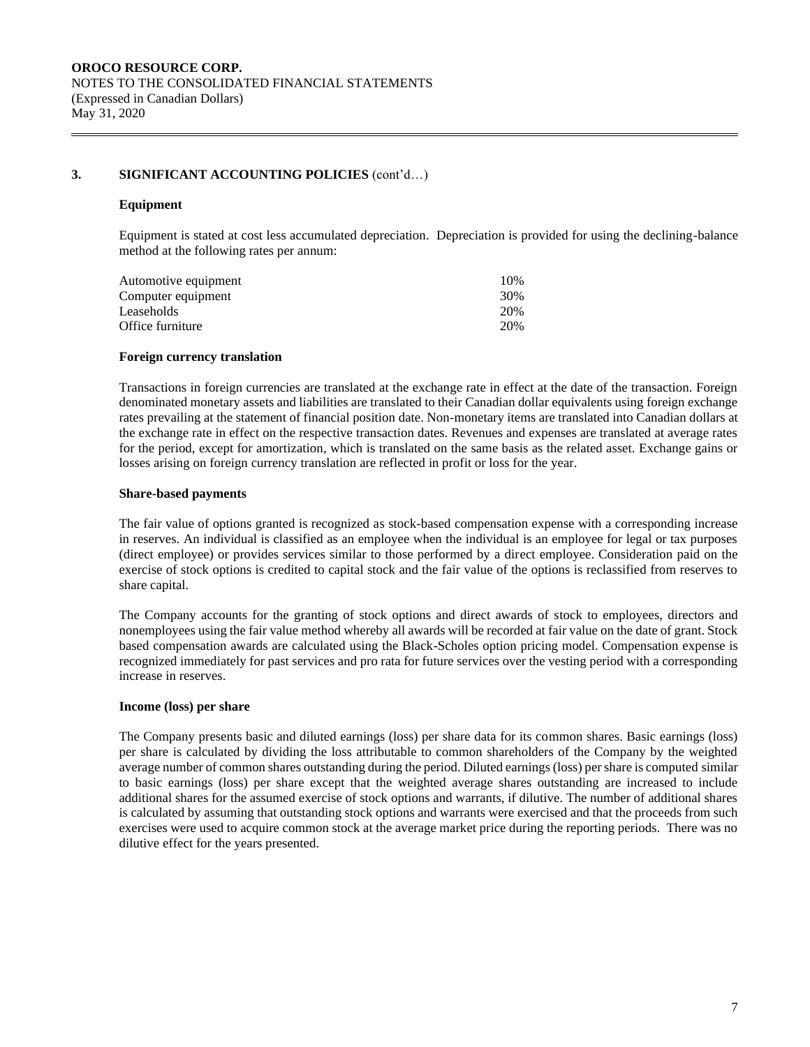#### **Equipment**

Equipment is stated at cost less accumulated depreciation. Depreciation is provided for using the declining-balance method at the following rates per annum:

| 10% |
|-----|
| 30% |
| 20% |
| 20% |
|     |

## **Foreign currency translation**

Transactions in foreign currencies are translated at the exchange rate in effect at the date of the transaction. Foreign denominated monetary assets and liabilities are translated to their Canadian dollar equivalents using foreign exchange rates prevailing at the statement of financial position date. Non-monetary items are translated into Canadian dollars at the exchange rate in effect on the respective transaction dates. Revenues and expenses are translated at average rates for the period, except for amortization, which is translated on the same basis as the related asset. Exchange gains or losses arising on foreign currency translation are reflected in profit or loss for the year.

#### **Share-based payments**

The fair value of options granted is recognized as stock-based compensation expense with a corresponding increase in reserves. An individual is classified as an employee when the individual is an employee for legal or tax purposes (direct employee) or provides services similar to those performed by a direct employee. Consideration paid on the exercise of stock options is credited to capital stock and the fair value of the options is reclassified from reserves to share capital.

The Company accounts for the granting of stock options and direct awards of stock to employees, directors and nonemployees using the fair value method whereby all awards will be recorded at fair value on the date of grant. Stock based compensation awards are calculated using the Black-Scholes option pricing model. Compensation expense is recognized immediately for past services and pro rata for future services over the vesting period with a corresponding increase in reserves.

#### **Income (loss) per share**

The Company presents basic and diluted earnings (loss) per share data for its common shares. Basic earnings (loss) per share is calculated by dividing the loss attributable to common shareholders of the Company by the weighted average number of common shares outstanding during the period. Diluted earnings (loss) per share is computed similar to basic earnings (loss) per share except that the weighted average shares outstanding are increased to include additional shares for the assumed exercise of stock options and warrants, if dilutive. The number of additional shares is calculated by assuming that outstanding stock options and warrants were exercised and that the proceeds from such exercises were used to acquire common stock at the average market price during the reporting periods. There was no dilutive effect for the years presented.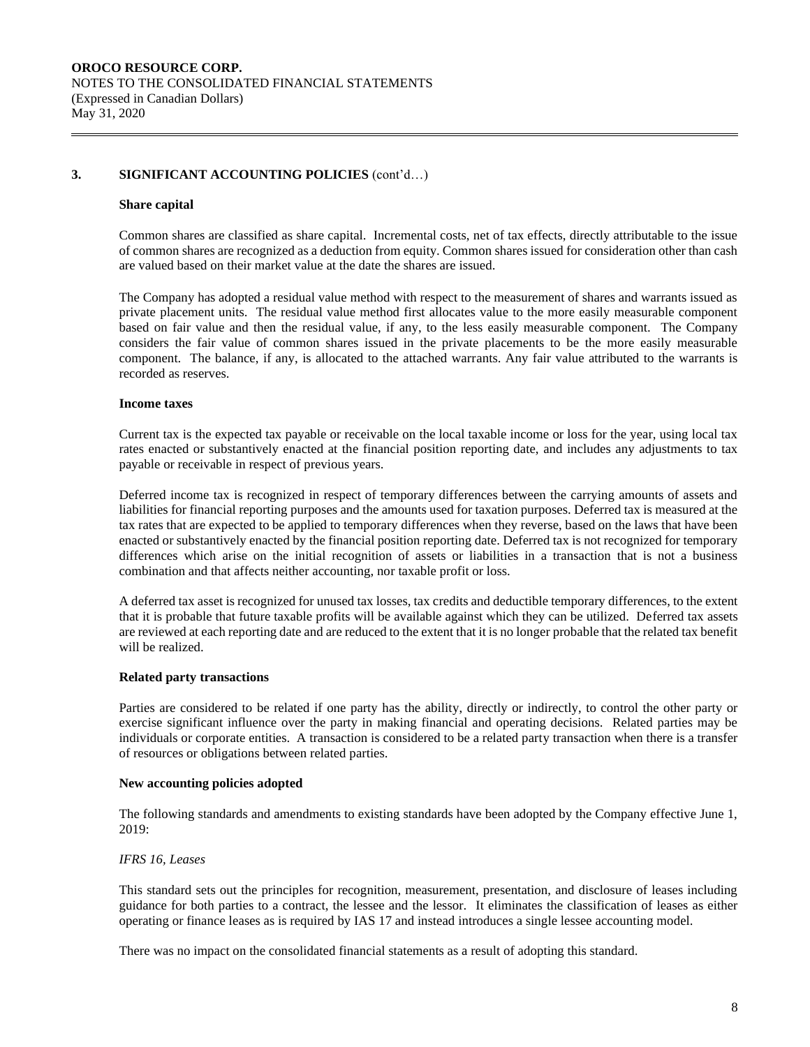#### **Share capital**

Common shares are classified as share capital. Incremental costs, net of tax effects, directly attributable to the issue of common shares are recognized as a deduction from equity. Common shares issued for consideration other than cash are valued based on their market value at the date the shares are issued.

The Company has adopted a residual value method with respect to the measurement of shares and warrants issued as private placement units. The residual value method first allocates value to the more easily measurable component based on fair value and then the residual value, if any, to the less easily measurable component. The Company considers the fair value of common shares issued in the private placements to be the more easily measurable component. The balance, if any, is allocated to the attached warrants. Any fair value attributed to the warrants is recorded as reserves.

#### **Income taxes**

Current tax is the expected tax payable or receivable on the local taxable income or loss for the year, using local tax rates enacted or substantively enacted at the financial position reporting date, and includes any adjustments to tax payable or receivable in respect of previous years.

Deferred income tax is recognized in respect of temporary differences between the carrying amounts of assets and liabilities for financial reporting purposes and the amounts used for taxation purposes. Deferred tax is measured at the tax rates that are expected to be applied to temporary differences when they reverse, based on the laws that have been enacted or substantively enacted by the financial position reporting date. Deferred tax is not recognized for temporary differences which arise on the initial recognition of assets or liabilities in a transaction that is not a business combination and that affects neither accounting, nor taxable profit or loss.

A deferred tax asset is recognized for unused tax losses, tax credits and deductible temporary differences, to the extent that it is probable that future taxable profits will be available against which they can be utilized. Deferred tax assets are reviewed at each reporting date and are reduced to the extent that it is no longer probable that the related tax benefit will be realized.

#### **Related party transactions**

Parties are considered to be related if one party has the ability, directly or indirectly, to control the other party or exercise significant influence over the party in making financial and operating decisions. Related parties may be individuals or corporate entities. A transaction is considered to be a related party transaction when there is a transfer of resources or obligations between related parties.

#### **New accounting policies adopted**

The following standards and amendments to existing standards have been adopted by the Company effective June 1, 2019:

## *IFRS 16, Leases*

This standard sets out the principles for recognition, measurement, presentation, and disclosure of leases including guidance for both parties to a contract, the lessee and the lessor. It eliminates the classification of leases as either operating or finance leases as is required by IAS 17 and instead introduces a single lessee accounting model.

There was no impact on the consolidated financial statements as a result of adopting this standard.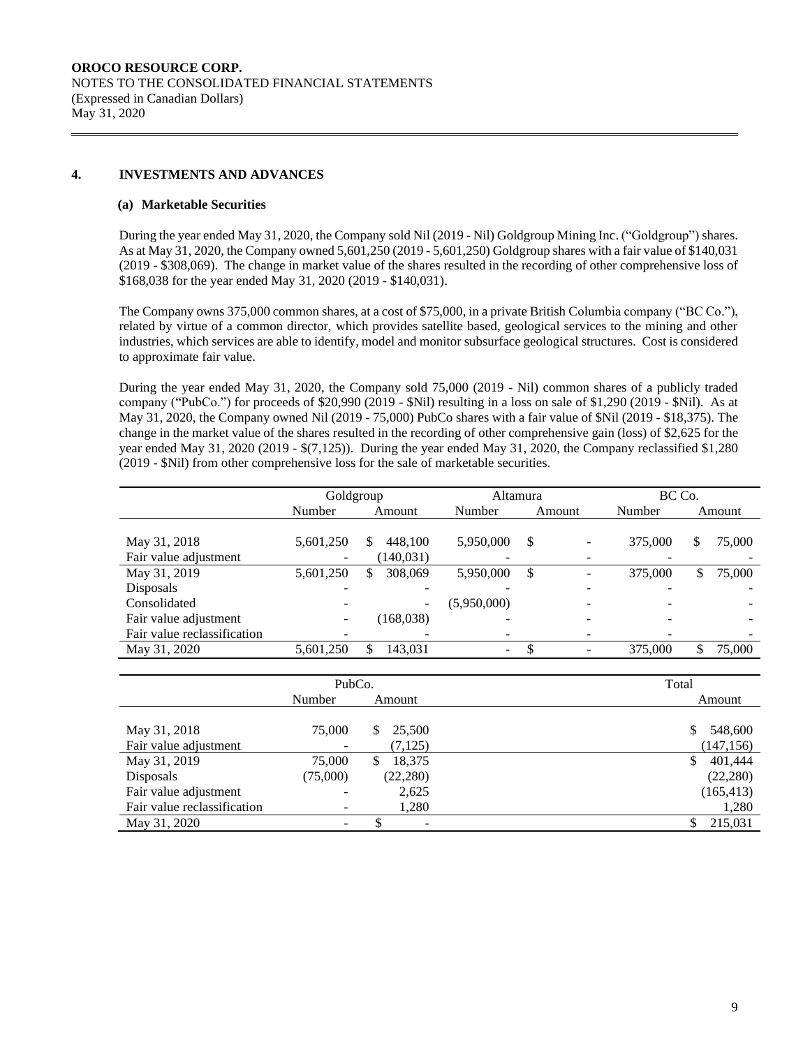## **4. INVESTMENTS AND ADVANCES**

#### **(a) Marketable Securities**

During the year ended May 31, 2020, the Company sold Nil (2019 - Nil) Goldgroup Mining Inc. ("Goldgroup") shares. As at May 31, 2020, the Company owned 5,601,250 (2019 - 5,601,250) Goldgroup shares with a fair value of \$140,031 (2019 - \$308,069). The change in market value of the shares resulted in the recording of other comprehensive loss of \$168,038 for the year ended May 31, 2020 (2019 - \$140,031).

The Company owns 375,000 common shares, at a cost of \$75,000, in a private British Columbia company ("BC Co."), related by virtue of a common director, which provides satellite based, geological services to the mining and other industries, which services are able to identify, model and monitor subsurface geological structures. Cost is considered to approximate fair value.

During the year ended May 31, 2020, the Company sold 75,000 (2019 - Nil) common shares of a publicly traded company ("PubCo.") for proceeds of \$20,990 (2019 - \$Nil) resulting in a loss on sale of \$1,290 (2019 - \$Nil). As at May 31, 2020, the Company owned Nil (2019 - 75,000) PubCo shares with a fair value of \$Nil (2019 - \$18,375). The change in the market value of the shares resulted in the recording of other comprehensive gain (loss) of \$2,625 for the year ended May 31, 2020 (2019 - \$(7,125)). During the year ended May 31, 2020, the Company reclassified \$1,280 (2019 - \$Nil) from other comprehensive loss for the sale of marketable securities.

|                             | Goldgroup                |               |                          | Altamura | BC Co.  |              |  |
|-----------------------------|--------------------------|---------------|--------------------------|----------|---------|--------------|--|
|                             | Number                   | Amount        | Number                   | Amount   | Number  | Amount       |  |
|                             |                          |               |                          |          |         |              |  |
| May 31, 2018                | 5,601,250                | 448.100<br>S. | 5,950,000                | \$       | 375,000 | 75,000<br>S  |  |
| Fair value adjustment       |                          | (140.031)     |                          |          |         |              |  |
| May 31, 2019                | 5,601,250                | 308,069<br>S  | 5,950,000                | \$       | 375,000 | 75,000<br>S  |  |
| Disposals                   |                          |               |                          |          |         |              |  |
| Consolidated                |                          |               | (5,950,000)              |          |         |              |  |
| Fair value adjustment       | ٠                        | (168,038)     |                          |          |         |              |  |
| Fair value reclassification | $\overline{\phantom{a}}$ |               |                          |          |         |              |  |
| May 31, 2020                | 5,601,250                | 143,031       | $\overline{\phantom{0}}$ |          | 375,000 | 75,000<br>\$ |  |

|                             | PubCo.                   |              | Total         |
|-----------------------------|--------------------------|--------------|---------------|
|                             | Number                   | Amount       | Amount        |
|                             |                          |              |               |
| May 31, 2018                | 75,000                   | 25,500       | 548,600<br>S. |
| Fair value adjustment       | -                        | (7, 125)     | (147, 156)    |
| May 31, 2019                | 75,000                   | \$<br>18,375 | 401,444<br>\$ |
| Disposals                   | (75,000)                 | (22, 280)    | (22, 280)     |
| Fair value adjustment       | $\overline{\phantom{a}}$ | 2,625        | (165, 413)    |
| Fair value reclassification | $\overline{\phantom{a}}$ | 1,280        | 1,280         |
| May 31, 2020                | $\overline{\phantom{a}}$ |              | 215,031       |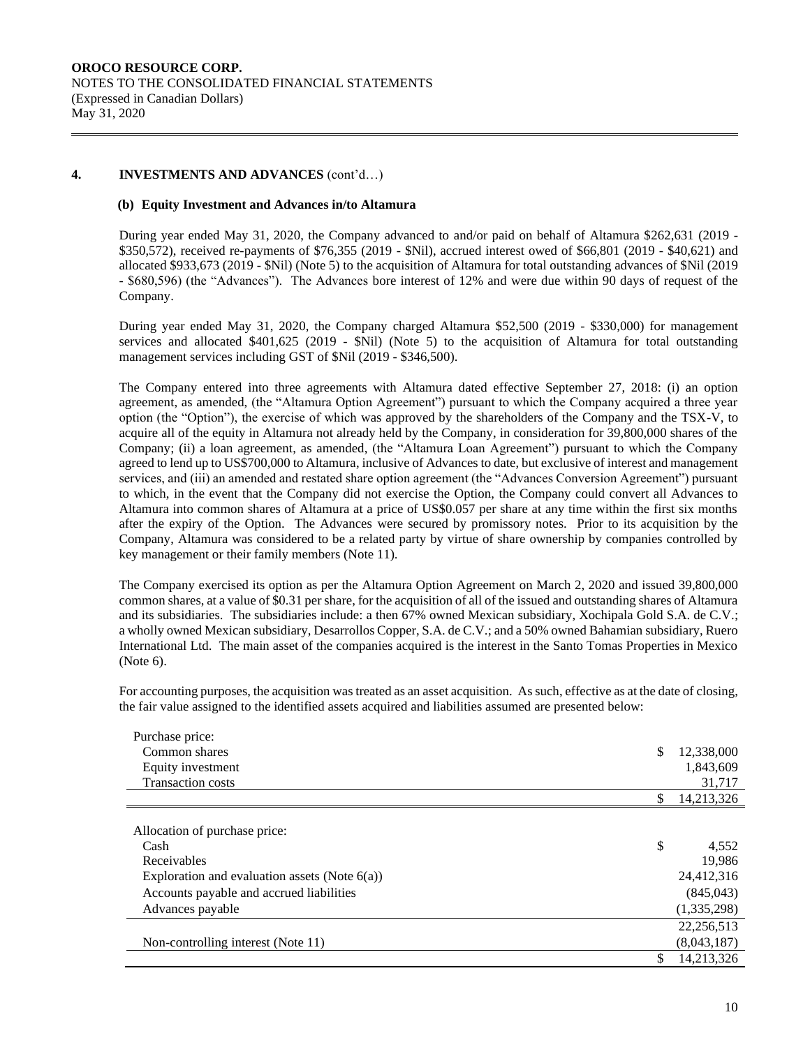## **4. INVESTMENTS AND ADVANCES** (cont'd…)

#### **(b) Equity Investment and Advances in/to Altamura**

During year ended May 31, 2020, the Company advanced to and/or paid on behalf of Altamura \$262,631 (2019 - \$350,572), received re-payments of \$76,355 (2019 - \$Nil), accrued interest owed of \$66,801 (2019 - \$40,621) and allocated \$933,673 (2019 - \$Nil) (Note 5) to the acquisition of Altamura for total outstanding advances of \$Nil (2019 - \$680,596) (the "Advances"). The Advances bore interest of 12% and were due within 90 days of request of the Company.

During year ended May 31, 2020, the Company charged Altamura \$52,500 (2019 - \$330,000) for management services and allocated \$401,625 (2019 - \$Nil) (Note 5) to the acquisition of Altamura for total outstanding management services including GST of \$Nil (2019 - \$346,500).

The Company entered into three agreements with Altamura dated effective September 27, 2018: (i) an option agreement, as amended, (the "Altamura Option Agreement") pursuant to which the Company acquired a three year option (the "Option"), the exercise of which was approved by the shareholders of the Company and the TSX-V, to acquire all of the equity in Altamura not already held by the Company, in consideration for 39,800,000 shares of the Company; (ii) a loan agreement, as amended, (the "Altamura Loan Agreement") pursuant to which the Company agreed to lend up to US\$700,000 to Altamura, inclusive of Advances to date, but exclusive of interest and management services, and (iii) an amended and restated share option agreement (the "Advances Conversion Agreement") pursuant to which, in the event that the Company did not exercise the Option, the Company could convert all Advances to Altamura into common shares of Altamura at a price of US\$0.057 per share at any time within the first six months after the expiry of the Option. The Advances were secured by promissory notes. Prior to its acquisition by the Company, Altamura was considered to be a related party by virtue of share ownership by companies controlled by key management or their family members (Note 11).

The Company exercised its option as per the Altamura Option Agreement on March 2, 2020 and issued 39,800,000 common shares, at a value of \$0.31 per share, for the acquisition of all of the issued and outstanding shares of Altamura and its subsidiaries. The subsidiaries include: a then 67% owned Mexican subsidiary, Xochipala Gold S.A. de C.V.; a wholly owned Mexican subsidiary, Desarrollos Copper, S.A. de C.V.; and a 50% owned Bahamian subsidiary, Ruero International Ltd. The main asset of the companies acquired is the interest in the Santo Tomas Properties in Mexico (Note 6).

For accounting purposes, the acquisition was treated as an asset acquisition. As such, effective as at the date of closing, the fair value assigned to the identified assets acquired and liabilities assumed are presented below:

| Purchase price:                                  |                  |
|--------------------------------------------------|------------------|
| Common shares                                    | \$<br>12,338,000 |
| Equity investment                                | 1,843,609        |
| <b>Transaction costs</b>                         | 31,717           |
|                                                  | \$<br>14,213,326 |
|                                                  |                  |
| Allocation of purchase price:                    |                  |
| Cash                                             | \$<br>4,552      |
| Receivables                                      | 19,986           |
| Exploration and evaluation assets (Note $6(a)$ ) | 24,412,316       |
| Accounts payable and accrued liabilities         | (845,043)        |
| Advances payable                                 | (1,335,298)      |
|                                                  | 22,256,513       |
| Non-controlling interest (Note 11)               | (8,043,187)      |
|                                                  | \$<br>14,213,326 |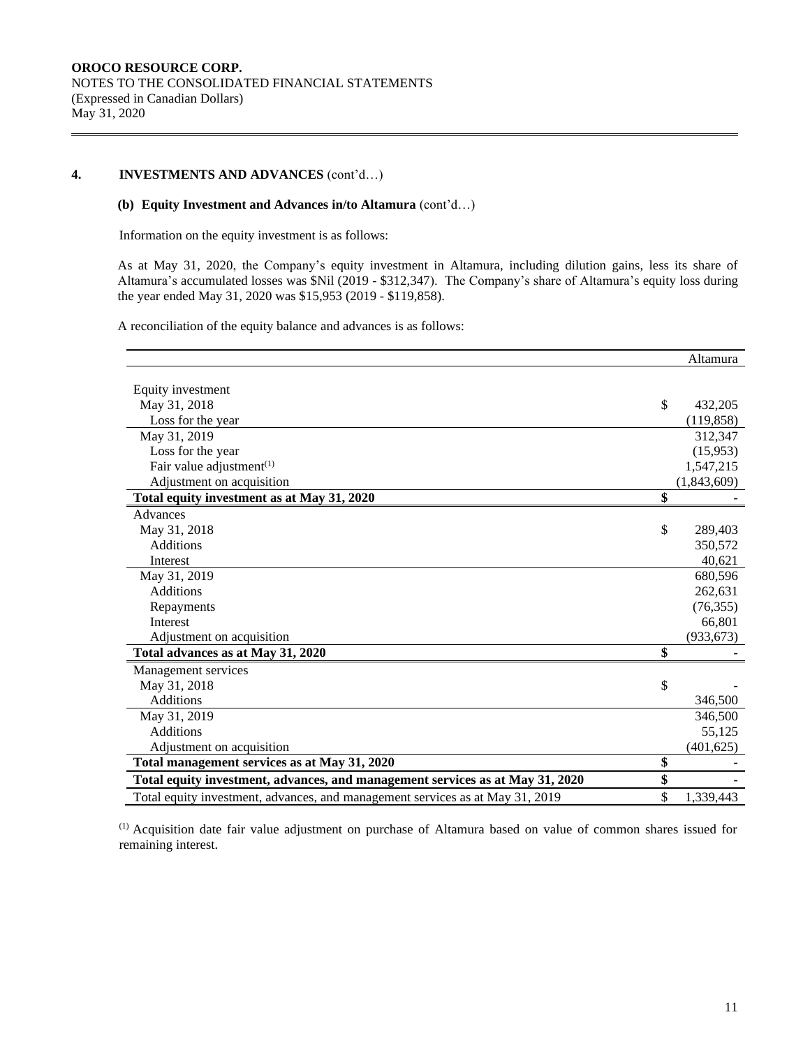## **4. INVESTMENTS AND ADVANCES** (cont'd…)

#### **(b) Equity Investment and Advances in/to Altamura** (cont'd…)

Information on the equity investment is as follows:

As at May 31, 2020, the Company's equity investment in Altamura, including dilution gains, less its share of Altamura's accumulated losses was \$Nil (2019 - \$312,347). The Company's share of Altamura's equity loss during the year ended May 31, 2020 was \$15,953 (2019 - \$119,858).

A reconciliation of the equity balance and advances is as follows:

|                                                                               | Altamura        |
|-------------------------------------------------------------------------------|-----------------|
|                                                                               |                 |
| Equity investment                                                             |                 |
| May 31, 2018                                                                  | \$<br>432,205   |
| Loss for the year                                                             | (119, 858)      |
| May 31, 2019                                                                  | 312,347         |
| Loss for the year                                                             | (15,953)        |
| Fair value adjustment $(1)$                                                   | 1,547,215       |
| Adjustment on acquisition                                                     | (1,843,609)     |
| Total equity investment as at May 31, 2020                                    | \$              |
| Advances                                                                      |                 |
| May 31, 2018                                                                  | \$<br>289,403   |
| <b>Additions</b>                                                              | 350,572         |
| Interest                                                                      | 40,621          |
| May 31, 2019                                                                  | 680,596         |
| <b>Additions</b>                                                              | 262,631         |
| Repayments                                                                    | (76, 355)       |
| Interest                                                                      | 66,801          |
| Adjustment on acquisition                                                     | (933, 673)      |
| Total advances as at May 31, 2020                                             | \$              |
| Management services                                                           |                 |
| May 31, 2018                                                                  | \$              |
| <b>Additions</b>                                                              | 346,500         |
| May 31, 2019                                                                  | 346,500         |
| <b>Additions</b>                                                              | 55,125          |
| Adjustment on acquisition                                                     | (401, 625)      |
| Total management services as at May 31, 2020                                  | \$              |
| Total equity investment, advances, and management services as at May 31, 2020 | \$              |
| Total equity investment, advances, and management services as at May 31, 2019 | \$<br>1,339,443 |

(1) Acquisition date fair value adjustment on purchase of Altamura based on value of common shares issued for remaining interest.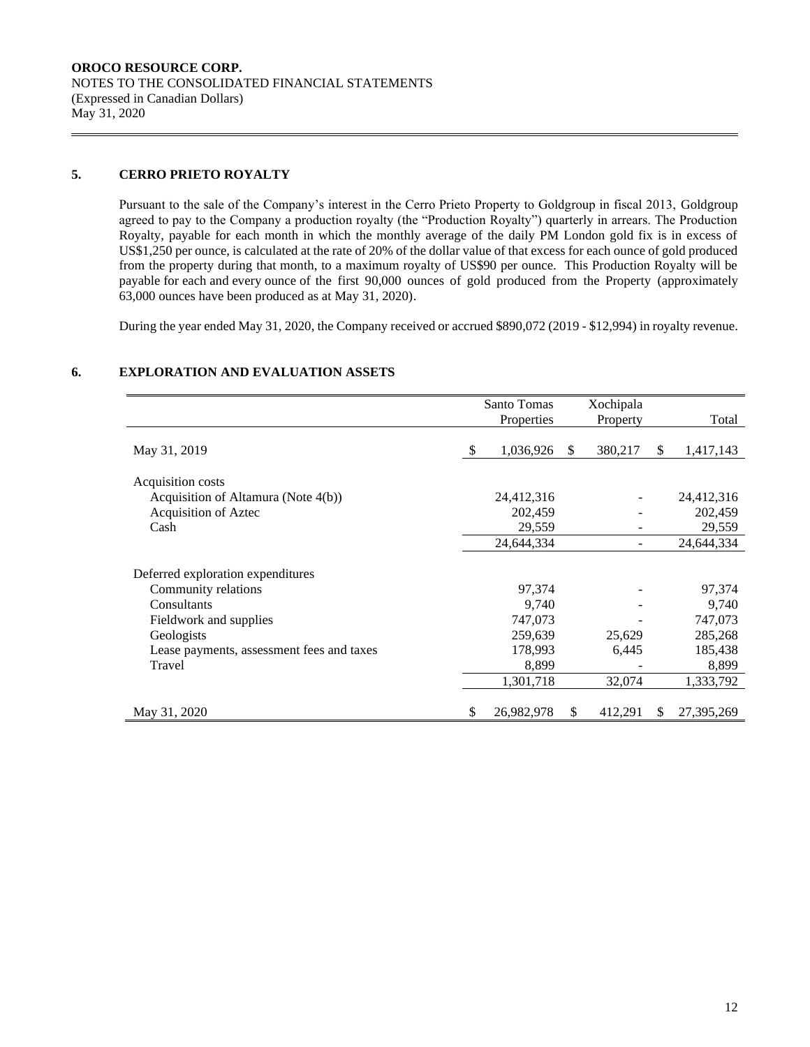## **5. CERRO PRIETO ROYALTY**

Pursuant to the sale of the Company's interest in the Cerro Prieto Property to Goldgroup in fiscal 2013, Goldgroup agreed to pay to the Company a production royalty (the "Production Royalty") quarterly in arrears. The Production Royalty, payable for each month in which the monthly average of the daily PM London gold fix is in excess of US\$1,250 per ounce, is calculated at the rate of 20% of the dollar value of that excess for each ounce of gold produced from the property during that month, to a maximum royalty of US\$90 per ounce. This Production Royalty will be payable for each and every ounce of the first 90,000 ounces of gold produced from the Property (approximately 63,000 ounces have been produced as at May 31, 2020).

During the year ended May 31, 2020, the Company received or accrued \$890,072 (2019 - \$12,994) in royalty revenue.

## **6. EXPLORATION AND EVALUATION ASSETS**

|                                                                                                                                                                        |               | Santo Tomas<br>Properties                                 |               | Xochipala<br>Property | Total                                                     |
|------------------------------------------------------------------------------------------------------------------------------------------------------------------------|---------------|-----------------------------------------------------------|---------------|-----------------------|-----------------------------------------------------------|
| May 31, 2019                                                                                                                                                           | <sup>\$</sup> | 1,036,926                                                 | <sup>\$</sup> | 380,217               | \$<br>1,417,143                                           |
| Acquisition costs                                                                                                                                                      |               |                                                           |               |                       |                                                           |
| Acquisition of Altamura (Note 4(b))                                                                                                                                    |               | 24,412,316                                                |               |                       | 24,412,316                                                |
| Acquisition of Aztec                                                                                                                                                   |               | 202,459                                                   |               |                       | 202,459                                                   |
| Cash                                                                                                                                                                   |               | 29,559                                                    |               |                       | 29,559                                                    |
|                                                                                                                                                                        |               | 24,644,334                                                |               | ۰                     | 24,644,334                                                |
| Deferred exploration expenditures<br>Community relations<br>Consultants<br>Fieldwork and supplies<br>Geologists<br>Lease payments, assessment fees and taxes<br>Travel |               | 97,374<br>9,740<br>747,073<br>259,639<br>178,993<br>8,899 |               | 25,629<br>6,445       | 97,374<br>9,740<br>747,073<br>285,268<br>185,438<br>8,899 |
|                                                                                                                                                                        |               | 1,301,718                                                 |               | 32,074                | 1,333,792                                                 |
| May 31, 2020                                                                                                                                                           | \$            | 26,982,978                                                | \$            | 412,291               | \$<br>27,395,269                                          |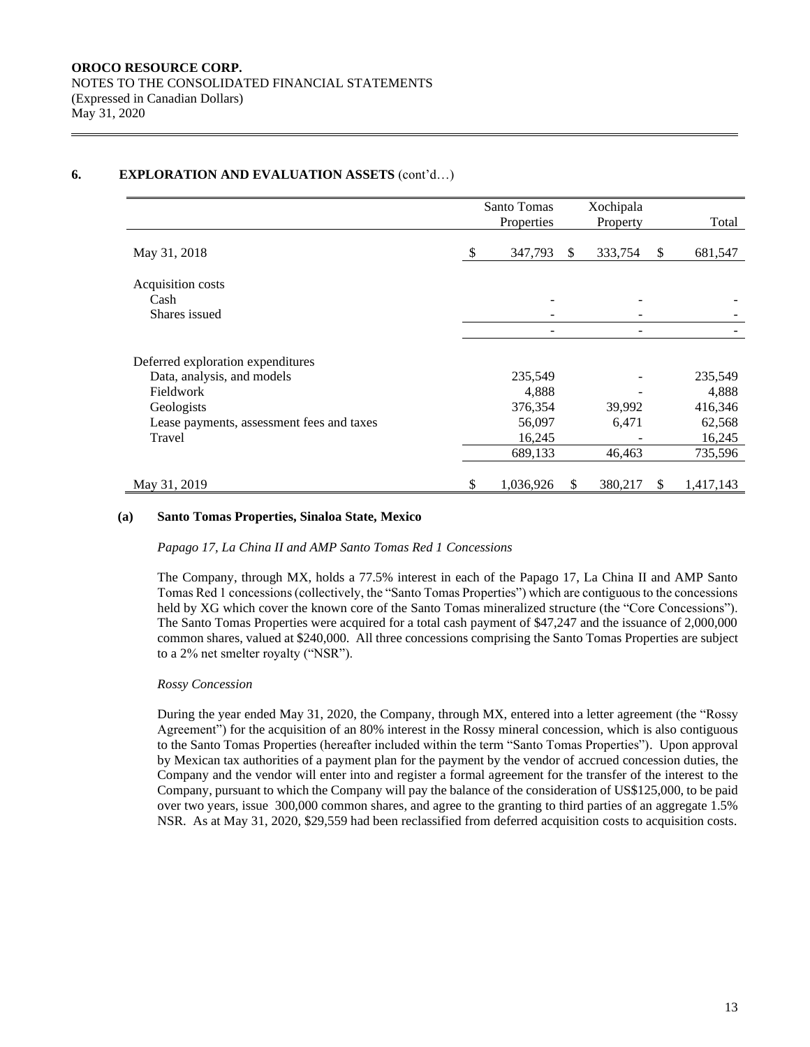## **6. EXPLORATION AND EVALUATION ASSETS** (cont'd…)

|                                           |    | Santo Tomas<br>Properties |     | Xochipala<br>Property |               | Total     |
|-------------------------------------------|----|---------------------------|-----|-----------------------|---------------|-----------|
| May 31, 2018                              | -S | 347,793                   | \$. | 333,754               | \$            | 681,547   |
| Acquisition costs                         |    |                           |     |                       |               |           |
| Cash                                      |    |                           |     |                       |               |           |
| Shares issued                             |    |                           |     |                       |               |           |
|                                           |    |                           |     |                       |               |           |
| Deferred exploration expenditures         |    |                           |     |                       |               |           |
| Data, analysis, and models                |    | 235,549                   |     |                       |               | 235,549   |
| Fieldwork                                 |    | 4,888                     |     |                       |               | 4,888     |
| Geologists                                |    | 376,354                   |     | 39,992                |               | 416,346   |
| Lease payments, assessment fees and taxes |    | 56,097                    |     | 6,471                 |               | 62,568    |
| Travel                                    |    | 16,245                    |     |                       |               | 16,245    |
|                                           |    | 689,133                   |     | 46,463                |               | 735,596   |
| May 31, 2019                              | \$ | 1,036,926                 | \$  | 380,217               | <sup>\$</sup> | 1,417,143 |

## **(a) Santo Tomas Properties, Sinaloa State, Mexico**

*Papago 17, La China II and AMP Santo Tomas Red 1 Concessions*

The Company, through MX, holds a 77.5% interest in each of the Papago 17, La China II and AMP Santo Tomas Red 1 concessions (collectively, the "Santo Tomas Properties") which are contiguous to the concessions held by XG which cover the known core of the Santo Tomas mineralized structure (the "Core Concessions"). The Santo Tomas Properties were acquired for a total cash payment of \$47,247 and the issuance of 2,000,000 common shares, valued at \$240,000. All three concessions comprising the Santo Tomas Properties are subject to a 2% net smelter royalty ("NSR").

## *Rossy Concession*

During the year ended May 31, 2020, the Company, through MX, entered into a letter agreement (the "Rossy Agreement") for the acquisition of an 80% interest in the Rossy mineral concession, which is also contiguous to the Santo Tomas Properties (hereafter included within the term "Santo Tomas Properties"). Upon approval by Mexican tax authorities of a payment plan for the payment by the vendor of accrued concession duties, the Company and the vendor will enter into and register a formal agreement for the transfer of the interest to the Company, pursuant to which the Company will pay the balance of the consideration of US\$125,000, to be paid over two years, issue 300,000 common shares, and agree to the granting to third parties of an aggregate 1.5% NSR. As at May 31, 2020, \$29,559 had been reclassified from deferred acquisition costs to acquisition costs.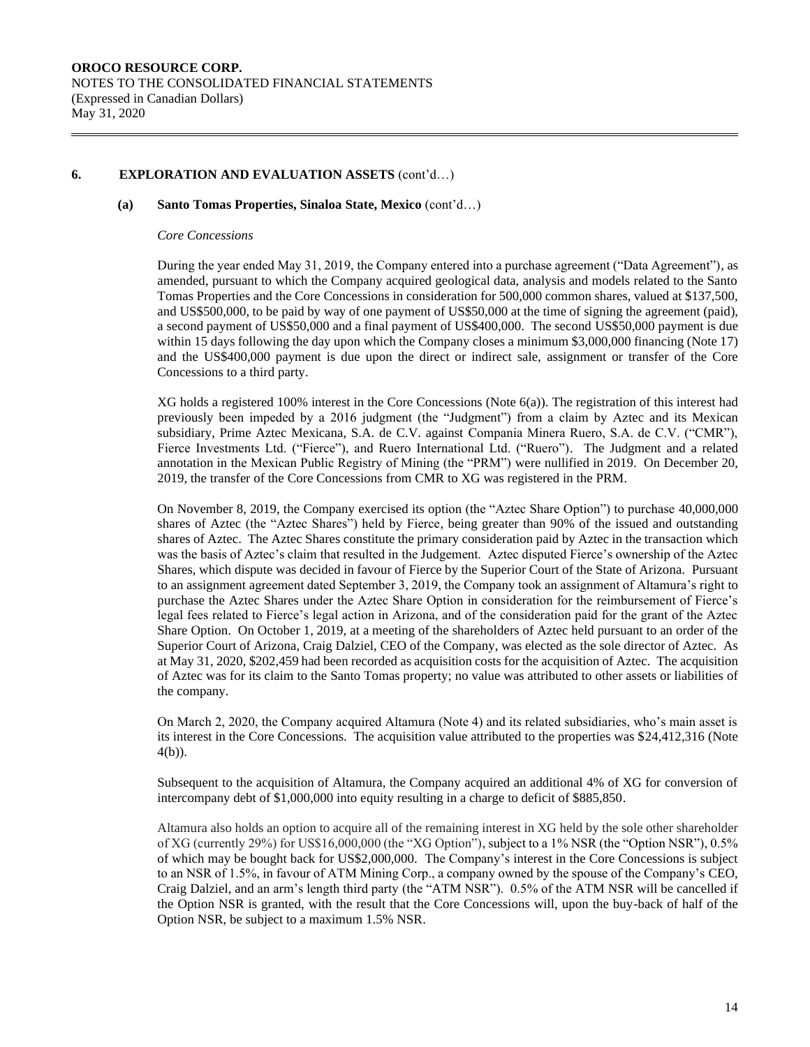## **6. EXPLORATION AND EVALUATION ASSETS** (cont'd…)

#### **(a) Santo Tomas Properties, Sinaloa State, Mexico** (cont'd…)

#### *Core Concessions*

During the year ended May 31, 2019, the Company entered into a purchase agreement ("Data Agreement"), as amended, pursuant to which the Company acquired geological data, analysis and models related to the Santo Tomas Properties and the Core Concessions in consideration for 500,000 common shares, valued at \$137,500, and US\$500,000, to be paid by way of one payment of US\$50,000 at the time of signing the agreement (paid), a second payment of US\$50,000 and a final payment of US\$400,000. The second US\$50,000 payment is due within 15 days following the day upon which the Company closes a minimum \$3,000,000 financing (Note 17) and the US\$400,000 payment is due upon the direct or indirect sale, assignment or transfer of the Core Concessions to a third party.

XG holds a registered 100% interest in the Core Concessions (Note 6(a)). The registration of this interest had previously been impeded by a 2016 judgment (the "Judgment") from a claim by Aztec and its Mexican subsidiary, Prime Aztec Mexicana, S.A. de C.V. against Compania Minera Ruero, S.A. de C.V. ("CMR"), Fierce Investments Ltd. ("Fierce"), and Ruero International Ltd. ("Ruero"). The Judgment and a related annotation in the Mexican Public Registry of Mining (the "PRM") were nullified in 2019. On December 20, 2019, the transfer of the Core Concessions from CMR to XG was registered in the PRM.

On November 8, 2019, the Company exercised its option (the "Aztec Share Option") to purchase 40,000,000 shares of Aztec (the "Aztec Shares") held by Fierce, being greater than 90% of the issued and outstanding shares of Aztec. The Aztec Shares constitute the primary consideration paid by Aztec in the transaction which was the basis of Aztec's claim that resulted in the Judgement. Aztec disputed Fierce's ownership of the Aztec Shares, which dispute was decided in favour of Fierce by the Superior Court of the State of Arizona. Pursuant to an assignment agreement dated September 3, 2019, the Company took an assignment of Altamura's right to purchase the Aztec Shares under the Aztec Share Option in consideration for the reimbursement of Fierce's legal fees related to Fierce's legal action in Arizona, and of the consideration paid for the grant of the Aztec Share Option. On October 1, 2019, at a meeting of the shareholders of Aztec held pursuant to an order of the Superior Court of Arizona, Craig Dalziel, CEO of the Company, was elected as the sole director of Aztec. As at May 31, 2020, \$202,459 had been recorded as acquisition costs for the acquisition of Aztec. The acquisition of Aztec was for its claim to the Santo Tomas property; no value was attributed to other assets or liabilities of the company.

On March 2, 2020, the Company acquired Altamura (Note 4) and its related subsidiaries, who's main asset is its interest in the Core Concessions. The acquisition value attributed to the properties was \$24,412,316 (Note 4(b)).

Subsequent to the acquisition of Altamura, the Company acquired an additional 4% of XG for conversion of intercompany debt of \$1,000,000 into equity resulting in a charge to deficit of \$885,850.

Altamura also holds an option to acquire all of the remaining interest in XG held by the sole other shareholder of XG (currently 29%) for US\$16,000,000 (the "XG Option"), subject to a 1% NSR (the "Option NSR"), 0.5% of which may be bought back for US\$2,000,000. The Company's interest in the Core Concessions is subject to an NSR of 1.5%, in favour of ATM Mining Corp., a company owned by the spouse of the Company's CEO, Craig Dalziel, and an arm's length third party (the "ATM NSR"). 0.5% of the ATM NSR will be cancelled if the Option NSR is granted, with the result that the Core Concessions will, upon the buy-back of half of the Option NSR, be subject to a maximum 1.5% NSR.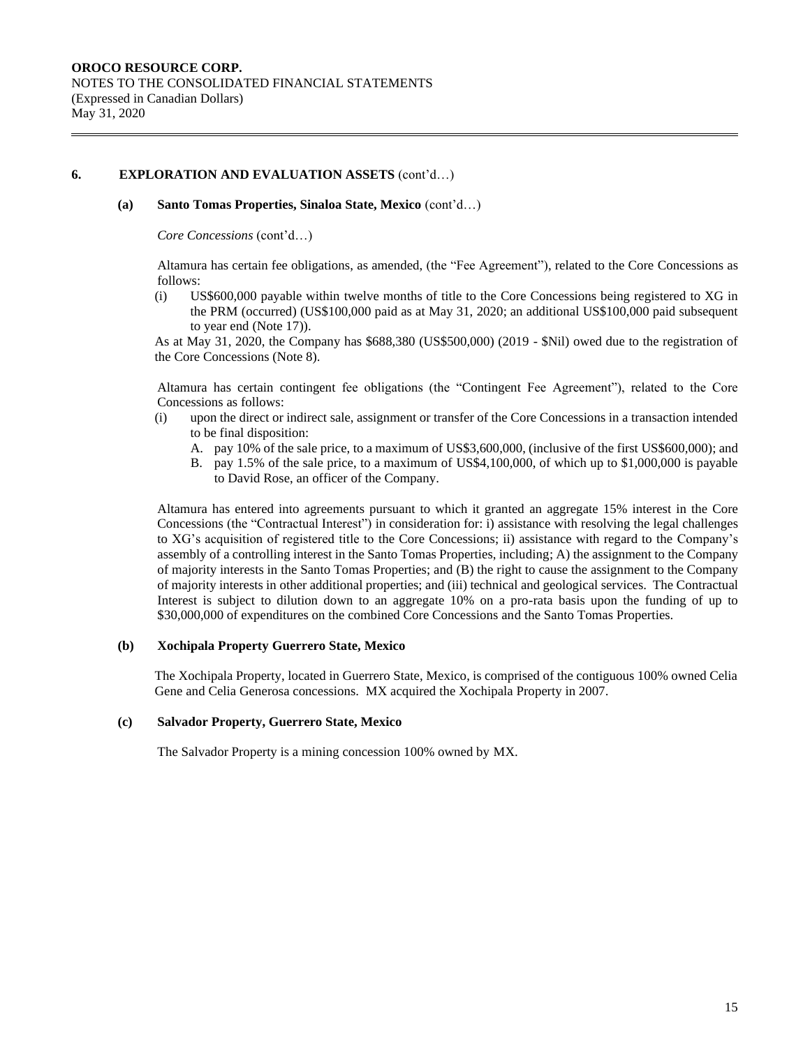## **6. EXPLORATION AND EVALUATION ASSETS** (cont'd…)

#### **(a) Santo Tomas Properties, Sinaloa State, Mexico** (cont'd…)

*Core Concessions* (cont'd…)

Altamura has certain fee obligations, as amended, (the "Fee Agreement"), related to the Core Concessions as follows:

(i) US\$600,000 payable within twelve months of title to the Core Concessions being registered to XG in the PRM (occurred) (US\$100,000 paid as at May 31, 2020; an additional US\$100,000 paid subsequent to year end (Note 17)).

As at May 31, 2020, the Company has \$688,380 (US\$500,000) (2019 - \$Nil) owed due to the registration of the Core Concessions (Note 8).

Altamura has certain contingent fee obligations (the "Contingent Fee Agreement"), related to the Core Concessions as follows:

- (i) upon the direct or indirect sale, assignment or transfer of the Core Concessions in a transaction intended to be final disposition:
	- A. pay 10% of the sale price, to a maximum of US\$3,600,000, (inclusive of the first US\$600,000); and
	- B. pay 1.5% of the sale price, to a maximum of US\$4,100,000, of which up to \$1,000,000 is payable to David Rose, an officer of the Company.

Altamura has entered into agreements pursuant to which it granted an aggregate 15% interest in the Core Concessions (the "Contractual Interest") in consideration for: i) assistance with resolving the legal challenges to XG's acquisition of registered title to the Core Concessions; ii) assistance with regard to the Company's assembly of a controlling interest in the Santo Tomas Properties, including; A) the assignment to the Company of majority interests in the Santo Tomas Properties; and (B) the right to cause the assignment to the Company of majority interests in other additional properties; and (iii) technical and geological services. The Contractual Interest is subject to dilution down to an aggregate 10% on a pro-rata basis upon the funding of up to \$30,000,000 of expenditures on the combined Core Concessions and the Santo Tomas Properties.

## **(b) Xochipala Property Guerrero State, Mexico**

The Xochipala Property, located in Guerrero State, Mexico, is comprised of the contiguous 100% owned Celia Gene and Celia Generosa concessions. MX acquired the Xochipala Property in 2007.

#### **(c) Salvador Property, Guerrero State, Mexico**

The Salvador Property is a mining concession 100% owned by MX.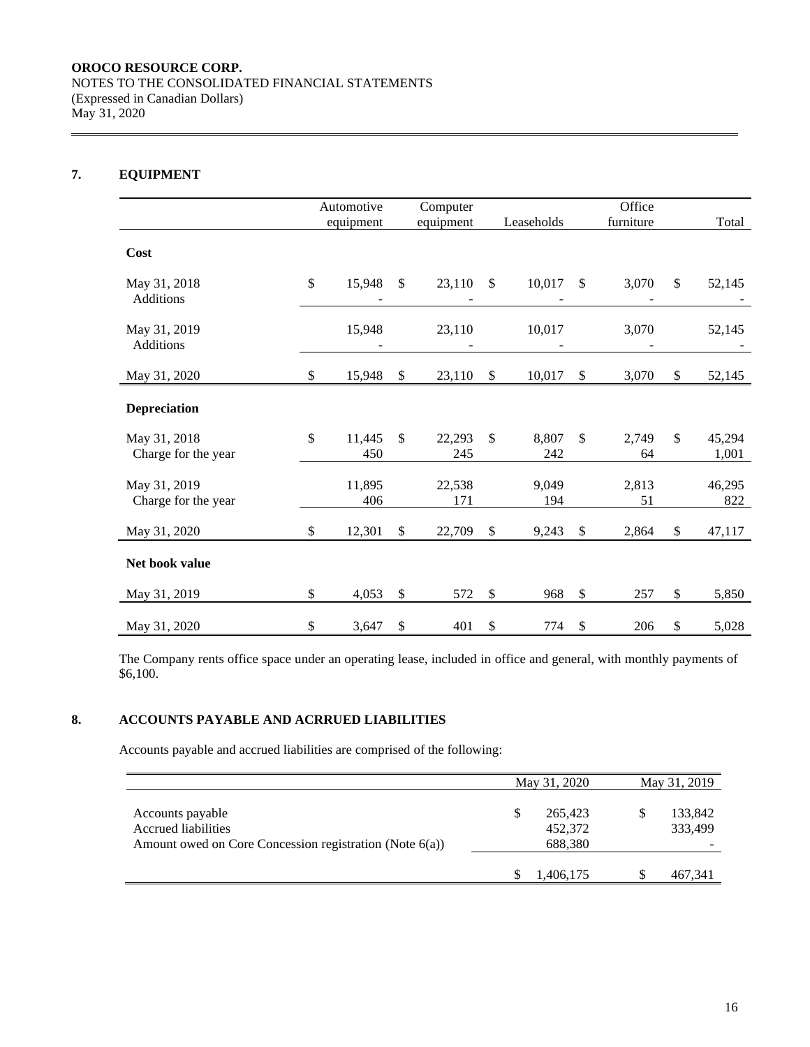# **7. EQUIPMENT**

|                                     | Automotive          |                           | Computer      |              |              |               | Office      |                       |
|-------------------------------------|---------------------|---------------------------|---------------|--------------|--------------|---------------|-------------|-----------------------|
|                                     | equipment           |                           | equipment     |              | Leaseholds   |               | furniture   | Total                 |
| Cost                                |                     |                           |               |              |              |               |             |                       |
| May 31, 2018<br><b>Additions</b>    | \$<br>15,948        | $\mathcal{S}$             | 23,110        | $\mathbb{S}$ | 10,017       | \$            | 3,070       | \$<br>52,145          |
| May 31, 2019<br><b>Additions</b>    | 15,948              |                           | 23,110        |              | 10,017       |               | 3,070       | 52,145                |
| May 31, 2020                        | \$<br>15,948        | \$                        | 23,110        | \$           | 10,017       | \$            | 3,070       | \$<br>52,145          |
| Depreciation                        |                     |                           |               |              |              |               |             |                       |
| May 31, 2018<br>Charge for the year | \$<br>11,445<br>450 | $\mathcal{S}$             | 22,293<br>245 | \$           | 8,807<br>242 | $\mathsf{\$}$ | 2,749<br>64 | \$<br>45,294<br>1,001 |
| May 31, 2019<br>Charge for the year | 11,895<br>406       |                           | 22,538<br>171 |              | 9,049<br>194 |               | 2,813<br>51 | 46,295<br>822         |
| May 31, 2020                        | \$<br>12,301        | $\boldsymbol{\mathsf{S}}$ | 22,709        | $\$$         | 9,243        | \$            | 2,864       | \$<br>47,117          |
| Net book value                      |                     |                           |               |              |              |               |             |                       |
| May 31, 2019                        | \$<br>4,053         | $\boldsymbol{\mathsf{S}}$ | 572           | $\$$         | 968          | \$            | 257         | \$<br>5,850           |
| May 31, 2020                        | \$<br>3,647         | \$                        | 401           | \$           | 774          | \$            | 206         | \$<br>5,028           |

The Company rents office space under an operating lease, included in office and general, with monthly payments of \$6,100.

## **8. ACCOUNTS PAYABLE AND ACRRUED LIABILITIES**

Accounts payable and accrued liabilities are comprised of the following:

|                                                                                                           | May 31, 2020                  | May 31, 2019       |
|-----------------------------------------------------------------------------------------------------------|-------------------------------|--------------------|
| Accounts payable<br><b>Accrued liabilities</b><br>Amount owed on Core Concession registration (Note 6(a)) | 265,423<br>452,372<br>688,380 | 133,842<br>333,499 |
|                                                                                                           | 1,406,175                     | 467,341            |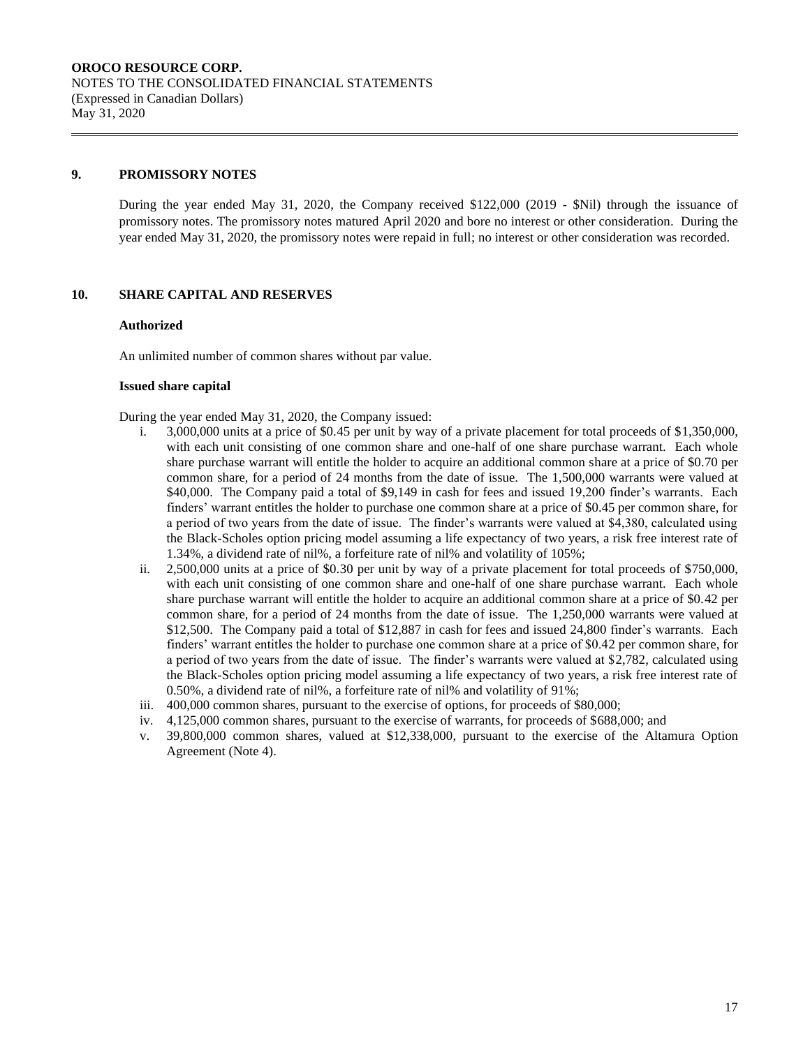#### **9. PROMISSORY NOTES**

During the year ended May 31, 2020, the Company received \$122,000 (2019 - \$Nil) through the issuance of promissory notes. The promissory notes matured April 2020 and bore no interest or other consideration. During the year ended May 31, 2020, the promissory notes were repaid in full; no interest or other consideration was recorded.

### **10. SHARE CAPITAL AND RESERVES**

#### **Authorized**

An unlimited number of common shares without par value.

#### **Issued share capital**

During the year ended May 31, 2020, the Company issued:

- i. 3,000,000 units at a price of \$0.45 per unit by way of a private placement for total proceeds of \$1,350,000, with each unit consisting of one common share and one-half of one share purchase warrant. Each whole share purchase warrant will entitle the holder to acquire an additional common share at a price of \$0.70 per common share, for a period of 24 months from the date of issue. The 1,500,000 warrants were valued at \$40,000. The Company paid a total of \$9,149 in cash for fees and issued 19,200 finder's warrants. Each finders' warrant entitles the holder to purchase one common share at a price of \$0.45 per common share, for a period of two years from the date of issue. The finder's warrants were valued at \$4,380, calculated using the Black-Scholes option pricing model assuming a life expectancy of two years, a risk free interest rate of 1.34%, a dividend rate of nil%, a forfeiture rate of nil% and volatility of 105%;
- ii. 2,500,000 units at a price of \$0.30 per unit by way of a private placement for total proceeds of \$750,000, with each unit consisting of one common share and one-half of one share purchase warrant. Each whole share purchase warrant will entitle the holder to acquire an additional common share at a price of \$0.42 per common share, for a period of 24 months from the date of issue. The 1,250,000 warrants were valued at \$12,500. The Company paid a total of \$12,887 in cash for fees and issued 24,800 finder's warrants. Each finders' warrant entitles the holder to purchase one common share at a price of \$0.42 per common share, for a period of two years from the date of issue. The finder's warrants were valued at \$2,782, calculated using the Black-Scholes option pricing model assuming a life expectancy of two years, a risk free interest rate of 0.50%, a dividend rate of nil%, a forfeiture rate of nil% and volatility of 91%;
- iii. 400,000 common shares, pursuant to the exercise of options, for proceeds of \$80,000;
- iv. 4,125,000 common shares, pursuant to the exercise of warrants, for proceeds of \$688,000; and
- v. 39,800,000 common shares, valued at \$12,338,000, pursuant to the exercise of the Altamura Option Agreement (Note 4).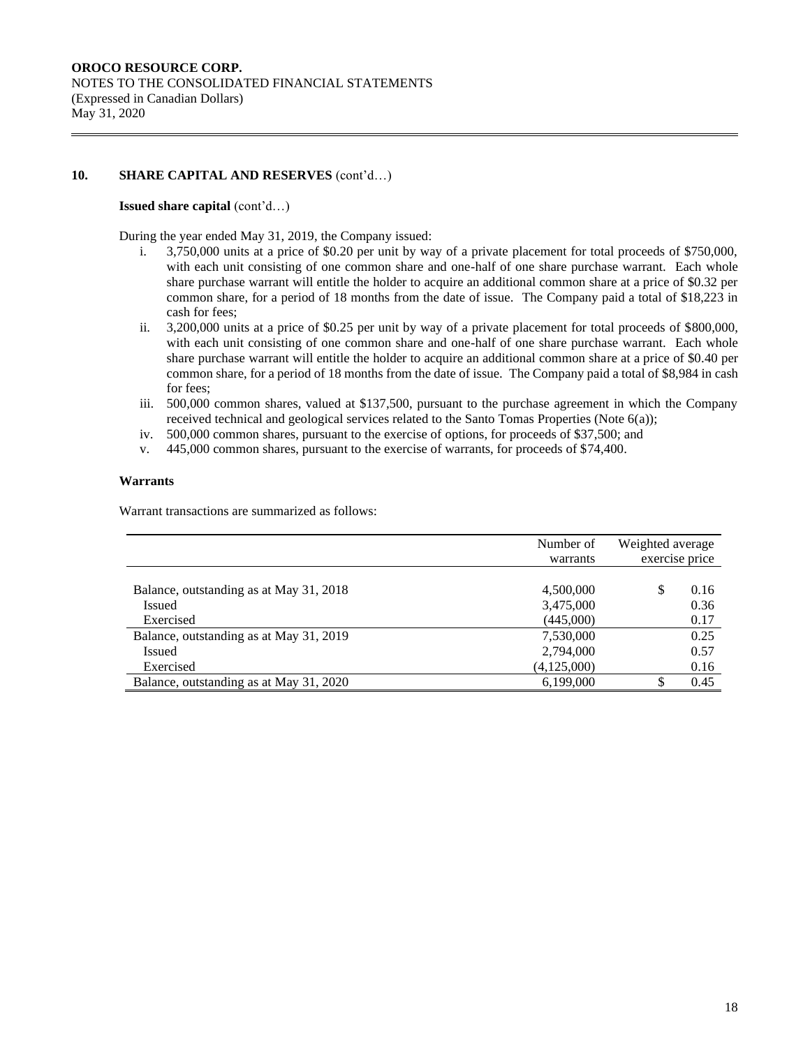## **10. SHARE CAPITAL AND RESERVES** (cont'd…)

#### **Issued share capital** (cont'd…)

During the year ended May 31, 2019, the Company issued:

- i. 3,750,000 units at a price of \$0.20 per unit by way of a private placement for total proceeds of \$750,000, with each unit consisting of one common share and one-half of one share purchase warrant. Each whole share purchase warrant will entitle the holder to acquire an additional common share at a price of \$0.32 per common share, for a period of 18 months from the date of issue. The Company paid a total of \$18,223 in cash for fees;
- ii. 3,200,000 units at a price of \$0.25 per unit by way of a private placement for total proceeds of \$800,000, with each unit consisting of one common share and one-half of one share purchase warrant. Each whole share purchase warrant will entitle the holder to acquire an additional common share at a price of \$0.40 per common share, for a period of 18 months from the date of issue. The Company paid a total of \$8,984 in cash for fees;
- iii. 500,000 common shares, valued at \$137,500, pursuant to the purchase agreement in which the Company received technical and geological services related to the Santo Tomas Properties (Note 6(a));
- iv. 500,000 common shares, pursuant to the exercise of options, for proceeds of \$37,500; and
- v. 445,000 common shares, pursuant to the exercise of warrants, for proceeds of \$74,400.

#### **Warrants**

Warrant transactions are summarized as follows:

|                                                   | Number of<br>warrants  | Weighted average<br>exercise price |
|---------------------------------------------------|------------------------|------------------------------------|
| Balance, outstanding as at May 31, 2018           | 4,500,000              | 0.16                               |
| Issued<br>Exercised                               | 3,475,000<br>(445,000) | 0.36<br>0.17                       |
| Balance, outstanding as at May 31, 2019<br>Issued | 7,530,000<br>2,794,000 | 0.25<br>0.57                       |
| Exercised                                         | (4,125,000)            | 0.16                               |
| Balance, outstanding as at May 31, 2020           | 6,199,000              | 0.45                               |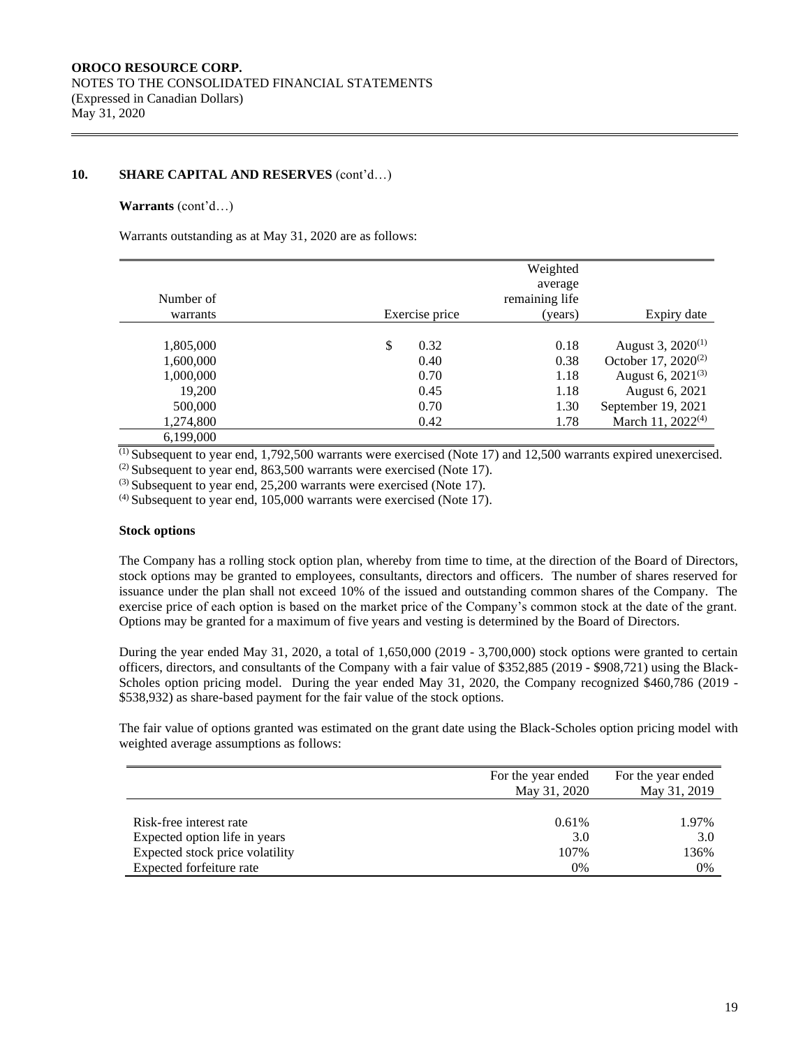## **10. SHARE CAPITAL AND RESERVES** (cont'd…)

#### **Warrants** (cont'd…)

Warrants outstanding as at May 31, 2020 are as follows:

|           |                | Weighted       |                                 |
|-----------|----------------|----------------|---------------------------------|
|           |                | average        |                                 |
| Number of |                | remaining life |                                 |
| warrants  | Exercise price | (years)        | Expiry date                     |
|           |                |                |                                 |
| 1,805,000 | \$<br>0.32     | 0.18           | August 3, $2020^{(1)}$          |
| 1,600,000 | 0.40           | 0.38           | October 17, 2020 <sup>(2)</sup> |
| 1,000,000 | 0.70           | 1.18           | August 6, $2021^{(3)}$          |
| 19,200    | 0.45           | 1.18           | August 6, 2021                  |
| 500,000   | 0.70           | 1.30           | September 19, 2021              |
| 1,274,800 | 0.42           | 1.78           | March 11, 2022 <sup>(4)</sup>   |
| 6,199,000 |                |                |                                 |

 $\overline{^{(1)}}$  Subsequent to year end, 1,792,500 warrants were exercised (Note 17) and 12,500 warrants expired unexercised.  $^{(2)}$  Subsequent to year end, 863,500 warrants were exercised (Note 17).

 $^{(3)}$  Subsequent to year end, 25,200 warrants were exercised (Note 17).

 $<sup>(4)</sup>$  Subsequent to year end, 105,000 warrants were exercised (Note 17).</sup>

#### **Stock options**

The Company has a rolling stock option plan, whereby from time to time, at the direction of the Board of Directors, stock options may be granted to employees, consultants, directors and officers. The number of shares reserved for issuance under the plan shall not exceed 10% of the issued and outstanding common shares of the Company. The exercise price of each option is based on the market price of the Company's common stock at the date of the grant. Options may be granted for a maximum of five years and vesting is determined by the Board of Directors.

During the year ended May 31, 2020, a total of 1,650,000 (2019 - 3,700,000) stock options were granted to certain officers, directors, and consultants of the Company with a fair value of \$352,885 (2019 - \$908,721) using the Black-Scholes option pricing model. During the year ended May 31, 2020, the Company recognized \$460,786 (2019 -\$538,932) as share-based payment for the fair value of the stock options.

The fair value of options granted was estimated on the grant date using the Black-Scholes option pricing model with weighted average assumptions as follows:

|                                 | For the year ended<br>May 31, 2020 | For the year ended<br>May 31, 2019 |
|---------------------------------|------------------------------------|------------------------------------|
|                                 |                                    |                                    |
| Risk-free interest rate         | 0.61%                              | 1.97%                              |
| Expected option life in years   | 3.0                                | 3.0                                |
| Expected stock price volatility | 107%                               | 136%                               |
| Expected forfeiture rate        | 0%                                 | 0%                                 |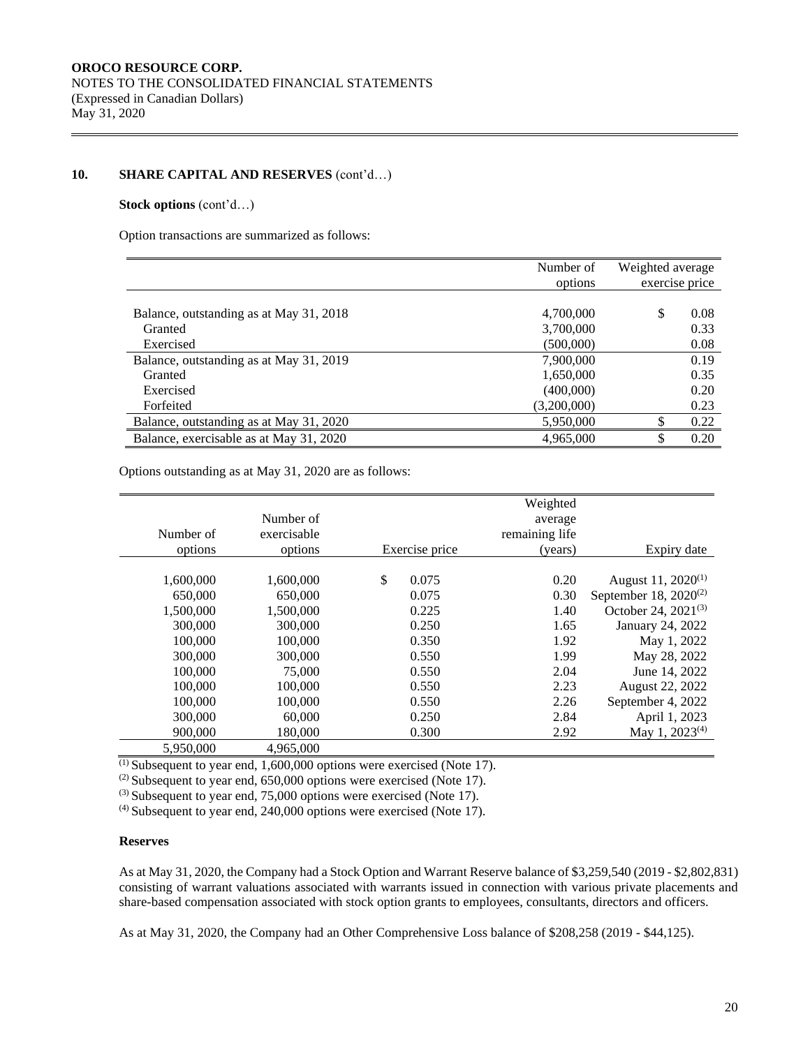## **10. SHARE CAPITAL AND RESERVES** (cont'd…)

#### **Stock options** (cont'd…)

Option transactions are summarized as follows:

|                                         | Number of<br>options | Weighted average<br>exercise price |
|-----------------------------------------|----------------------|------------------------------------|
|                                         |                      |                                    |
| Balance, outstanding as at May 31, 2018 | 4,700,000            | S<br>0.08                          |
| Granted                                 | 3,700,000            | 0.33                               |
| Exercised                               | (500,000)            | 0.08                               |
| Balance, outstanding as at May 31, 2019 | 7,900,000            | 0.19                               |
| Granted                                 | 1,650,000            | 0.35                               |
| Exercised                               | (400,000)            | 0.20                               |
| Forfeited                               | (3,200,000)          | 0.23                               |
| Balance, outstanding as at May 31, 2020 | 5,950,000            | 0.22<br>S                          |
| Balance, exercisable as at May 31, 2020 | 4,965,000            | 0.20                               |

Options outstanding as at May 31, 2020 are as follows:

|           |             |                | Weighted       |                                   |
|-----------|-------------|----------------|----------------|-----------------------------------|
|           | Number of   |                | average        |                                   |
| Number of | exercisable |                | remaining life |                                   |
| options   | options     | Exercise price | (years)        | Expiry date                       |
|           |             |                |                |                                   |
| 1,600,000 | 1,600,000   | \$<br>0.075    | 0.20           | August 11, 2020 <sup>(1)</sup>    |
| 650,000   | 650,000     | 0.075          | 0.30           | September 18, 2020 <sup>(2)</sup> |
| 1,500,000 | 1,500,000   | 0.225          | 1.40           | October 24, 2021 <sup>(3)</sup>   |
| 300,000   | 300,000     | 0.250          | 1.65           | January 24, 2022                  |
| 100,000   | 100,000     | 0.350          | 1.92           | May 1, 2022                       |
| 300,000   | 300,000     | 0.550          | 1.99           | May 28, 2022                      |
| 100,000   | 75,000      | 0.550          | 2.04           | June 14, 2022                     |
| 100,000   | 100,000     | 0.550          | 2.23           | August 22, 2022                   |
| 100,000   | 100,000     | 0.550          | 2.26           | September 4, 2022                 |
| 300,000   | 60,000      | 0.250          | 2.84           | April 1, 2023                     |
| 900,000   | 180,000     | 0.300          | 2.92           | May 1, 2023 <sup>(4)</sup>        |
| 5,950,000 | 4,965,000   |                |                |                                   |

 $\overline{^{(1)}}$  Subsequent to year end, 1,600,000 options were exercised (Note 17).

 $^{(2)}$  Subsequent to year end, 650,000 options were exercised (Note 17).

 $^{(3)}$  Subsequent to year end, 75,000 options were exercised (Note 17).

 $^{(4)}$  Subsequent to year end, 240,000 options were exercised (Note 17).

#### **Reserves**

As at May 31, 2020, the Company had a Stock Option and Warrant Reserve balance of \$3,259,540 (2019 - \$2,802,831) consisting of warrant valuations associated with warrants issued in connection with various private placements and share-based compensation associated with stock option grants to employees, consultants, directors and officers.

As at May 31, 2020, the Company had an Other Comprehensive Loss balance of \$208,258 (2019 - \$44,125).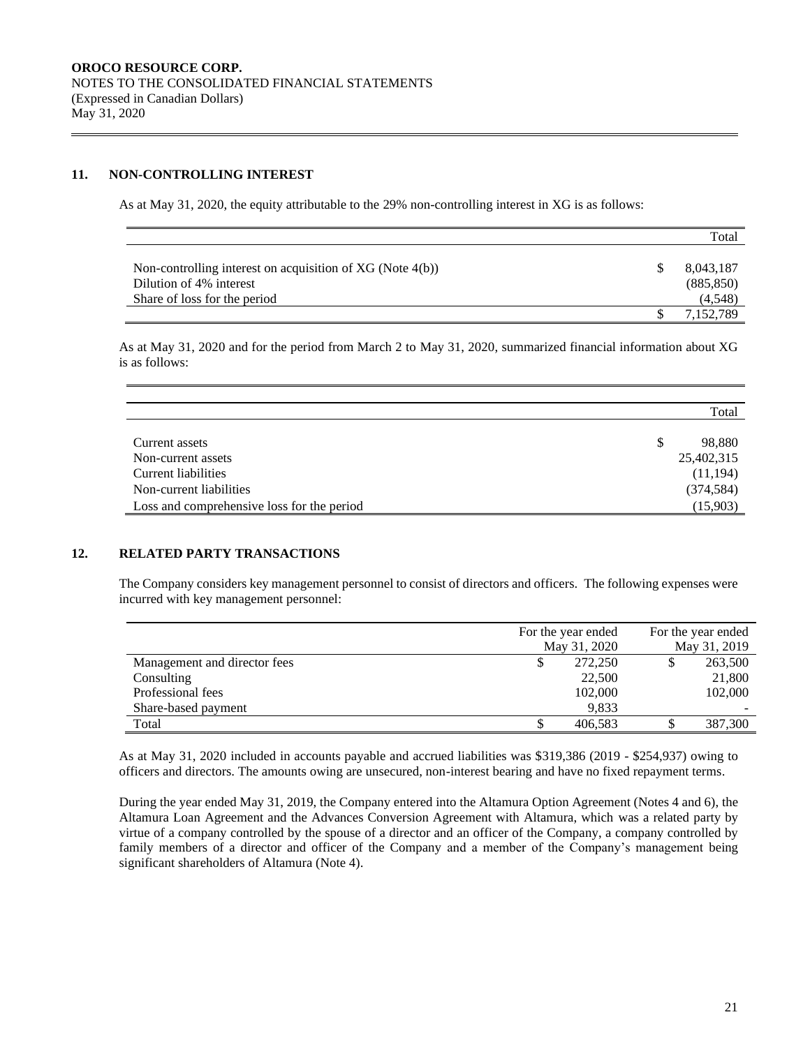## **11. NON-CONTROLLING INTEREST**

As at May 31, 2020, the equity attributable to the 29% non-controlling interest in XG is as follows:

|                                                           |   | Total      |
|-----------------------------------------------------------|---|------------|
|                                                           |   |            |
| Non-controlling interest on acquisition of XG (Note 4(b)) | S | 8,043,187  |
| Dilution of 4% interest                                   |   | (885, 850) |
| Share of loss for the period                              |   | (4,548)    |
|                                                           |   | 7,152,789  |

As at May 31, 2020 and for the period from March 2 to May 31, 2020, summarized financial information about XG is as follows:

|                                            | Total        |
|--------------------------------------------|--------------|
|                                            |              |
| Current assets                             | \$<br>98,880 |
| Non-current assets                         | 25,402,315   |
| Current liabilities                        | (11, 194)    |
| Non-current liabilities                    | (374, 584)   |
| Loss and comprehensive loss for the period | (15,903)     |

## **12. RELATED PARTY TRANSACTIONS**

The Company considers key management personnel to consist of directors and officers. The following expenses were incurred with key management personnel:

|                              | For the year ended | For the year ended |
|------------------------------|--------------------|--------------------|
|                              | May 31, 2020       | May 31, 2019       |
| Management and director fees | 272,250            | 263,500            |
| Consulting                   | 22,500             | 21,800             |
| Professional fees            | 102,000            | 102,000            |
| Share-based payment          | 9.833              |                    |
| Total                        | 406.583            | 387,300            |

As at May 31, 2020 included in accounts payable and accrued liabilities was \$319,386 (2019 - \$254,937) owing to officers and directors. The amounts owing are unsecured, non-interest bearing and have no fixed repayment terms.

During the year ended May 31, 2019, the Company entered into the Altamura Option Agreement (Notes 4 and 6), the Altamura Loan Agreement and the Advances Conversion Agreement with Altamura, which was a related party by virtue of a company controlled by the spouse of a director and an officer of the Company, a company controlled by family members of a director and officer of the Company and a member of the Company's management being significant shareholders of Altamura (Note 4).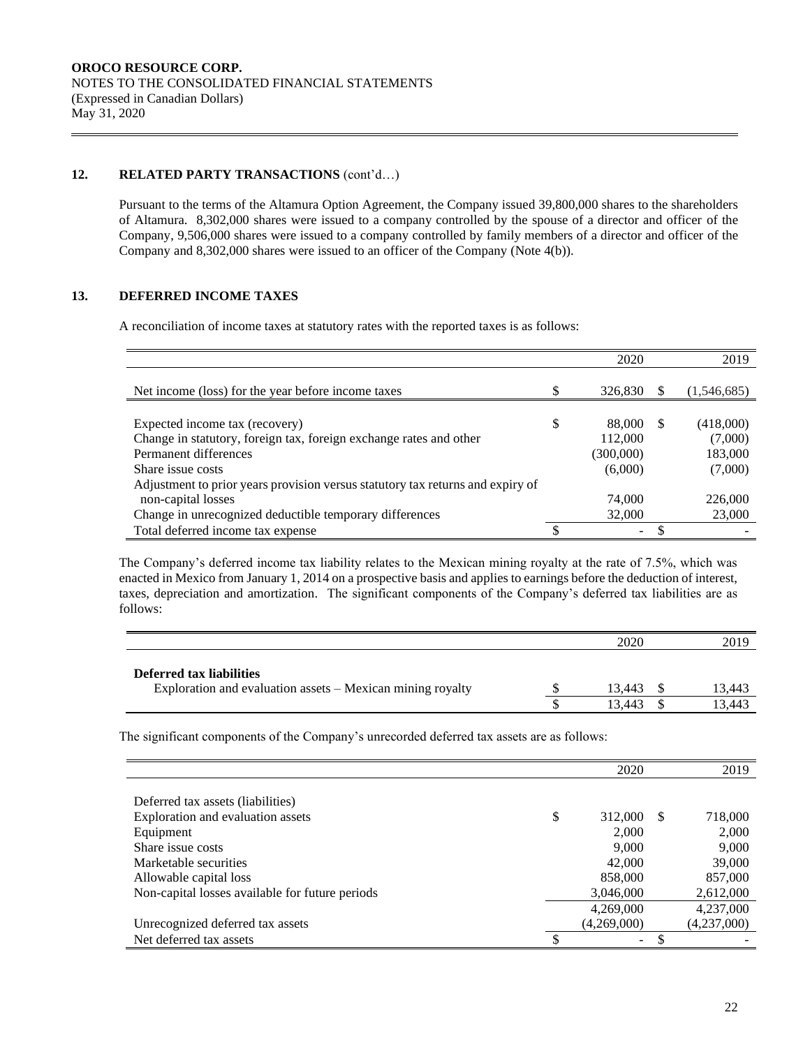## 12. RELATED PARTY TRANSACTIONS  $(cont'd...)$

Pursuant to the terms of the Altamura Option Agreement, the Company issued 39,800,000 shares to the shareholders of Altamura. 8,302,000 shares were issued to a company controlled by the spouse of a director and officer of the Company, 9,506,000 shares were issued to a company controlled by family members of a director and officer of the Company and 8,302,000 shares were issued to an officer of the Company (Note 4(b)).

## **13. DEFERRED INCOME TAXES**

A reconciliation of income taxes at statutory rates with the reported taxes is as follows:

|                                                                                |   | 2020      |    | 2019        |
|--------------------------------------------------------------------------------|---|-----------|----|-------------|
| Net income (loss) for the year before income taxes                             |   | 326,830   |    | (1,546,685) |
|                                                                                |   |           |    |             |
| Expected income tax (recovery)                                                 | S | 88,000    | -S | (418,000)   |
| Change in statutory, foreign tax, foreign exchange rates and other             |   | 112,000   |    | (7,000)     |
| Permanent differences                                                          |   | (300,000) |    | 183,000     |
| Share issue costs                                                              |   | (6,000)   |    | (7,000)     |
| Adjustment to prior years provision versus statutory tax returns and expiry of |   |           |    |             |
| non-capital losses                                                             |   | 74,000    |    | 226,000     |
| Change in unrecognized deductible temporary differences                        |   | 32,000    |    | 23,000      |
| Total deferred income tax expense                                              |   | -         |    |             |

The Company's deferred income tax liability relates to the Mexican mining royalty at the rate of 7.5%, which was enacted in Mexico from January 1, 2014 on a prospective basis and applies to earnings before the deduction of interest, taxes, depreciation and amortization. The significant components of the Company's deferred tax liabilities are as follows:

|                                                                                               | 2020   | 2019   |
|-----------------------------------------------------------------------------------------------|--------|--------|
| <b>Deferred tax liabilities</b><br>Exploration and evaluation assets – Mexican mining royalty | 13.443 | 13,443 |
|                                                                                               | 13.443 | 13.443 |

The significant components of the Company's unrecorded deferred tax assets are as follows:

|                                                 | 2020          |    | 2019        |
|-------------------------------------------------|---------------|----|-------------|
|                                                 |               |    |             |
| Deferred tax assets (liabilities)               |               |    |             |
| Exploration and evaluation assets               | \$<br>312,000 | -8 | 718,000     |
| Equipment                                       | 2,000         |    | 2,000       |
| Share issue costs                               | 9,000         |    | 9,000       |
| Marketable securities                           | 42,000        |    | 39,000      |
| Allowable capital loss                          | 858,000       |    | 857,000     |
| Non-capital losses available for future periods | 3,046,000     |    | 2,612,000   |
|                                                 | 4,269,000     |    | 4,237,000   |
| Unrecognized deferred tax assets                | (4,269,000)   |    | (4,237,000) |
| Net deferred tax assets                         | ۰.            |    |             |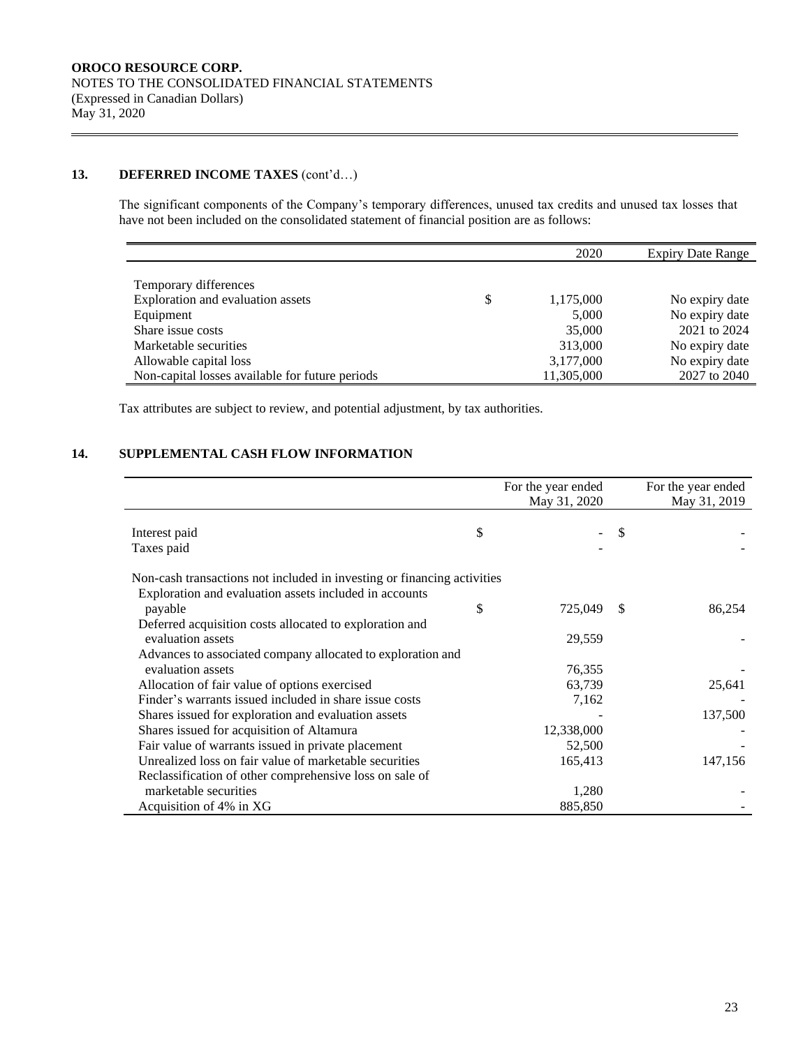## 13. **DEFERRED INCOME TAXES** (cont'd...)

The significant components of the Company's temporary differences, unused tax credits and unused tax losses that have not been included on the consolidated statement of financial position are as follows:

|                                                 | 2020            | <b>Expiry Date Range</b> |
|-------------------------------------------------|-----------------|--------------------------|
|                                                 |                 |                          |
| Temporary differences                           |                 |                          |
| Exploration and evaluation assets               | \$<br>1,175,000 | No expiry date           |
| Equipment                                       | 5.000           | No expiry date           |
| Share issue costs                               | 35,000          | 2021 to 2024             |
| Marketable securities                           | 313,000         | No expiry date           |
| Allowable capital loss                          | 3,177,000       | No expiry date           |
| Non-capital losses available for future periods | 11,305,000      | 2027 to 2040             |

Tax attributes are subject to review, and potential adjustment, by tax authorities.

## **14. SUPPLEMENTAL CASH FLOW INFORMATION**

|                                                                         | For the year ended | For the year ended |
|-------------------------------------------------------------------------|--------------------|--------------------|
|                                                                         | May 31, 2020       | May 31, 2019       |
|                                                                         |                    |                    |
| Interest paid                                                           | \$                 | \$                 |
| Taxes paid                                                              |                    |                    |
| Non-cash transactions not included in investing or financing activities |                    |                    |
| Exploration and evaluation assets included in accounts                  |                    |                    |
| payable                                                                 | \$<br>725,049      | \$<br>86,254       |
| Deferred acquisition costs allocated to exploration and                 |                    |                    |
| evaluation assets                                                       | 29,559             |                    |
| Advances to associated company allocated to exploration and             |                    |                    |
| evaluation assets                                                       | 76,355             |                    |
| Allocation of fair value of options exercised                           | 63,739             | 25,641             |
| Finder's warrants issued included in share issue costs                  | 7,162              |                    |
| Shares issued for exploration and evaluation assets                     |                    | 137,500            |
| Shares issued for acquisition of Altamura                               | 12,338,000         |                    |
| Fair value of warrants issued in private placement                      | 52,500             |                    |
| Unrealized loss on fair value of marketable securities                  | 165,413            | 147,156            |
| Reclassification of other comprehensive loss on sale of                 |                    |                    |
| marketable securities                                                   | 1,280              |                    |
| Acquisition of 4% in XG                                                 | 885,850            |                    |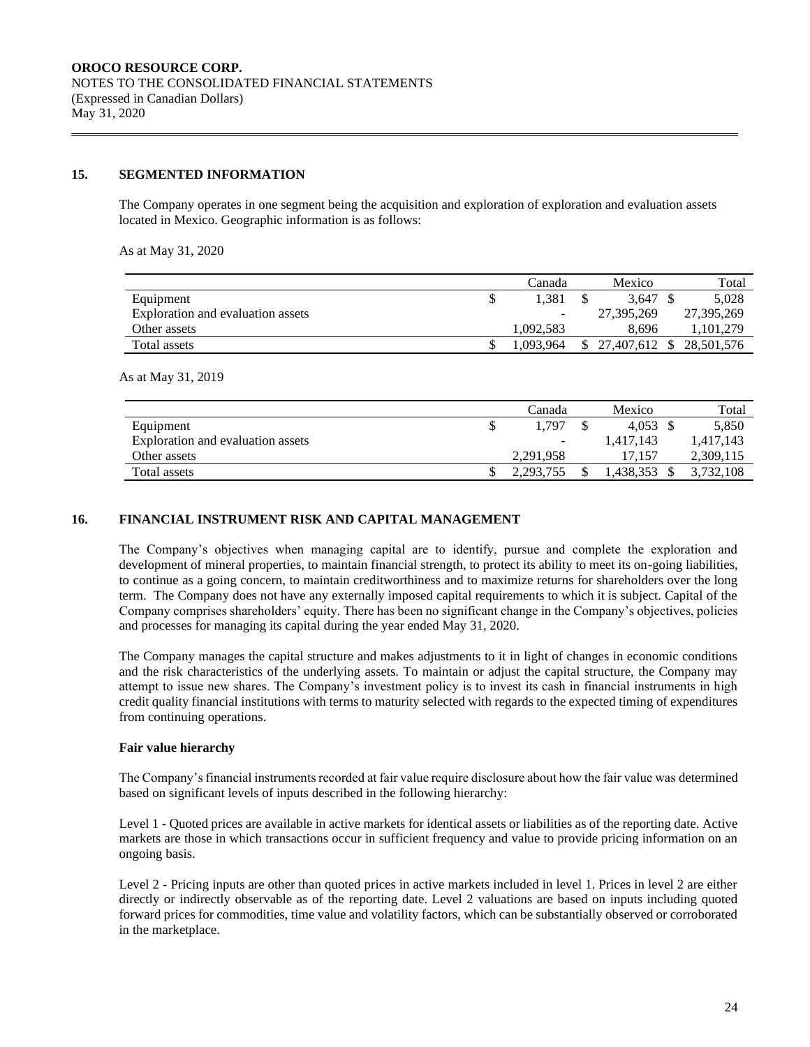## **15. SEGMENTED INFORMATION**

The Company operates in one segment being the acquisition and exploration of exploration and evaluation assets located in Mexico. Geographic information is as follows:

As at May 31, 2020

|                                   | Canada    | Mexico     | Total      |
|-----------------------------------|-----------|------------|------------|
| Equipment                         | 1.381     | 3.647      | 5.028      |
| Exploration and evaluation assets |           | 27.395.269 | 27.395.269 |
| Other assets                      | 1.092.583 | 8.696      | 1.101.279  |
| Total assets                      | .093.964  | 27,407,612 | 28.501.576 |

As at May 31, 2019

|                                   | Canada                   | Mexico    | Total     |
|-----------------------------------|--------------------------|-----------|-----------|
| Equipment                         | 797. ،                   | 4.053     | 5,850     |
| Exploration and evaluation assets | $\overline{\phantom{0}}$ | 1.417.143 | 1.417.143 |
| Other assets                      | 2,291,958                | 17.157    | 2,309,115 |
| Total assets                      | 2,293,755                | .438,353  | 3,732,108 |

## **16. FINANCIAL INSTRUMENT RISK AND CAPITAL MANAGEMENT**

The Company's objectives when managing capital are to identify, pursue and complete the exploration and development of mineral properties, to maintain financial strength, to protect its ability to meet its on-going liabilities, to continue as a going concern, to maintain creditworthiness and to maximize returns for shareholders over the long term. The Company does not have any externally imposed capital requirements to which it is subject. Capital of the Company comprises shareholders' equity. There has been no significant change in the Company's objectives, policies and processes for managing its capital during the year ended May 31, 2020.

The Company manages the capital structure and makes adjustments to it in light of changes in economic conditions and the risk characteristics of the underlying assets. To maintain or adjust the capital structure, the Company may attempt to issue new shares. The Company's investment policy is to invest its cash in financial instruments in high credit quality financial institutions with terms to maturity selected with regards to the expected timing of expenditures from continuing operations.

#### **Fair value hierarchy**

The Company's financial instruments recorded at fair value require disclosure about how the fair value was determined based on significant levels of inputs described in the following hierarchy:

Level 1 - Quoted prices are available in active markets for identical assets or liabilities as of the reporting date. Active markets are those in which transactions occur in sufficient frequency and value to provide pricing information on an ongoing basis.

Level 2 - Pricing inputs are other than quoted prices in active markets included in level 1. Prices in level 2 are either directly or indirectly observable as of the reporting date. Level 2 valuations are based on inputs including quoted forward prices for commodities, time value and volatility factors, which can be substantially observed or corroborated in the marketplace.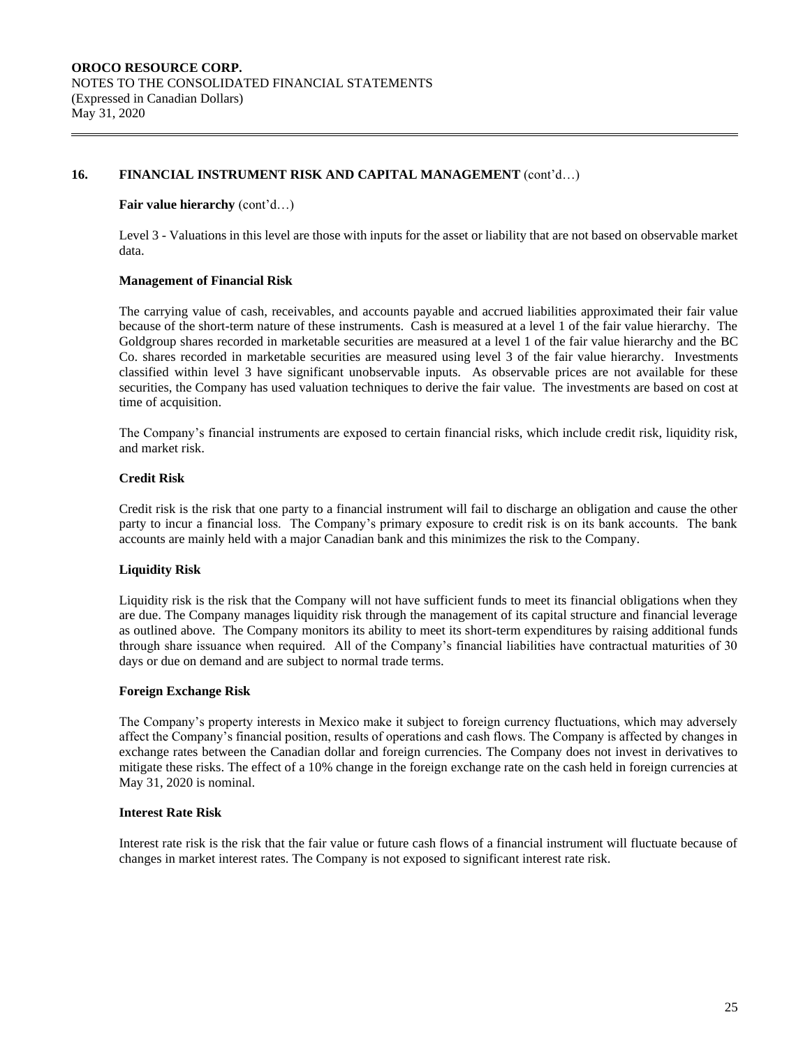## **16. FINANCIAL INSTRUMENT RISK AND CAPITAL MANAGEMENT** (cont'd…)

#### **Fair value hierarchy** (cont'd…)

Level 3 - Valuations in this level are those with inputs for the asset or liability that are not based on observable market data.

### **Management of Financial Risk**

The carrying value of cash, receivables, and accounts payable and accrued liabilities approximated their fair value because of the short-term nature of these instruments. Cash is measured at a level 1 of the fair value hierarchy. The Goldgroup shares recorded in marketable securities are measured at a level 1 of the fair value hierarchy and the BC Co. shares recorded in marketable securities are measured using level 3 of the fair value hierarchy. Investments classified within level 3 have significant unobservable inputs. As observable prices are not available for these securities, the Company has used valuation techniques to derive the fair value. The investments are based on cost at time of acquisition.

The Company's financial instruments are exposed to certain financial risks, which include credit risk, liquidity risk, and market risk.

### **Credit Risk**

Credit risk is the risk that one party to a financial instrument will fail to discharge an obligation and cause the other party to incur a financial loss. The Company's primary exposure to credit risk is on its bank accounts. The bank accounts are mainly held with a major Canadian bank and this minimizes the risk to the Company.

#### **Liquidity Risk**

Liquidity risk is the risk that the Company will not have sufficient funds to meet its financial obligations when they are due. The Company manages liquidity risk through the management of its capital structure and financial leverage as outlined above. The Company monitors its ability to meet its short-term expenditures by raising additional funds through share issuance when required. All of the Company's financial liabilities have contractual maturities of 30 days or due on demand and are subject to normal trade terms.

#### **Foreign Exchange Risk**

The Company's property interests in Mexico make it subject to foreign currency fluctuations, which may adversely affect the Company's financial position, results of operations and cash flows. The Company is affected by changes in exchange rates between the Canadian dollar and foreign currencies. The Company does not invest in derivatives to mitigate these risks. The effect of a 10% change in the foreign exchange rate on the cash held in foreign currencies at May 31, 2020 is nominal.

#### **Interest Rate Risk**

Interest rate risk is the risk that the fair value or future cash flows of a financial instrument will fluctuate because of changes in market interest rates. The Company is not exposed to significant interest rate risk.